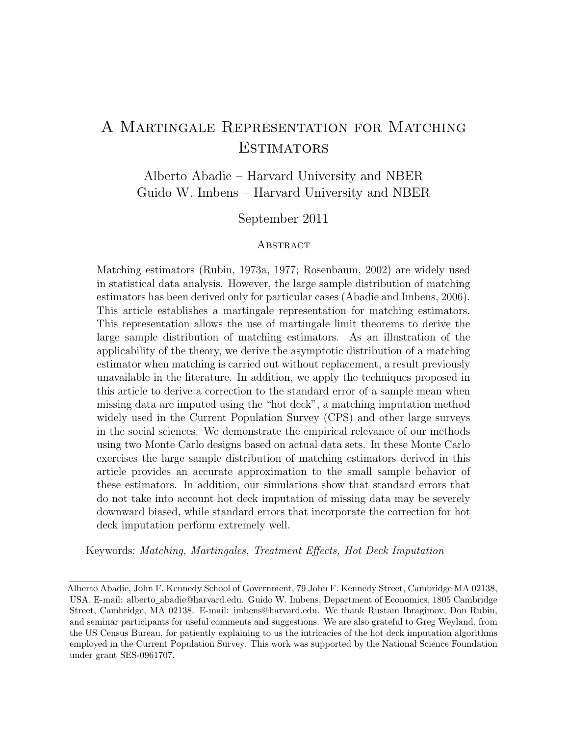# A Martingale Representation for Matching **ESTIMATORS**

Alberto Abadie – Harvard University and NBER Guido W. Imbens – Harvard University and NBER

## September 2011

## **ABSTRACT**

Matching estimators (Rubin, 1973a, 1977; Rosenbaum, 2002) are widely used in statistical data analysis. However, the large sample distribution of matching estimators has been derived only for particular cases (Abadie and Imbens, 2006). This article establishes a martingale representation for matching estimators. This representation allows the use of martingale limit theorems to derive the large sample distribution of matching estimators. As an illustration of the applicability of the theory, we derive the asymptotic distribution of a matching estimator when matching is carried out without replacement, a result previously unavailable in the literature. In addition, we apply the techniques proposed in this article to derive a correction to the standard error of a sample mean when missing data are imputed using the "hot deck", a matching imputation method widely used in the Current Population Survey (CPS) and other large surveys in the social sciences. We demonstrate the empirical relevance of our methods using two Monte Carlo designs based on actual data sets. In these Monte Carlo exercises the large sample distribution of matching estimators derived in this article provides an accurate approximation to the small sample behavior of these estimators. In addition, our simulations show that standard errors that do not take into account hot deck imputation of missing data may be severely downward biased, while standard errors that incorporate the correction for hot deck imputation perform extremely well.

Keywords: Matching, Martingales, Treatment Effects, Hot Deck Imputation

Alberto Abadie, John F. Kennedy School of Government, 79 John F. Kennedy Street, Cambridge MA 02138, USA. E-mail: alberto abadie@harvard.edu. Guido W. Imbens, Department of Economics, 1805 Cambridge Street, Cambridge, MA 02138. E-mail: imbens@harvard.edu. We thank Rustam Ibragimov, Don Rubin, and seminar participants for useful comments and suggestions. We are also grateful to Greg Weyland, from the US Census Bureau, for patiently explaining to us the intricacies of the hot deck imputation algorithms employed in the Current Population Survey. This work was supported by the National Science Foundation under grant SES-0961707.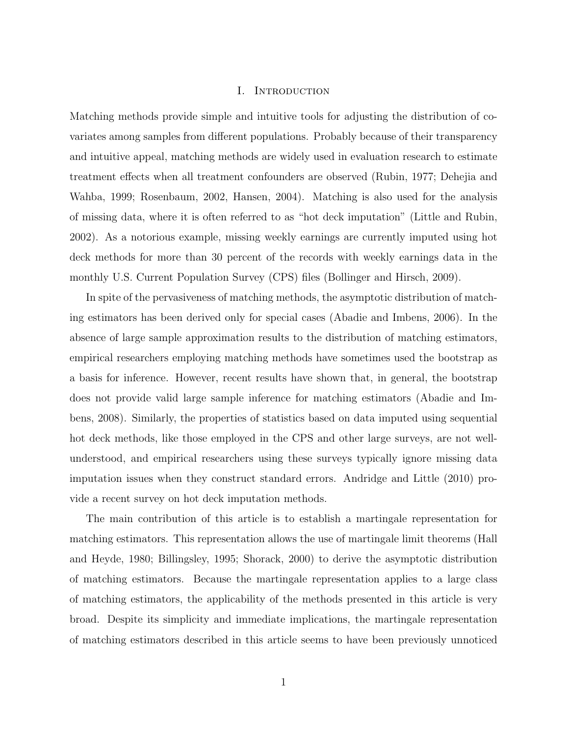## I. Introduction

Matching methods provide simple and intuitive tools for adjusting the distribution of covariates among samples from different populations. Probably because of their transparency and intuitive appeal, matching methods are widely used in evaluation research to estimate treatment effects when all treatment confounders are observed (Rubin, 1977; Dehejia and Wahba, 1999; Rosenbaum, 2002, Hansen, 2004). Matching is also used for the analysis of missing data, where it is often referred to as "hot deck imputation" (Little and Rubin, 2002). As a notorious example, missing weekly earnings are currently imputed using hot deck methods for more than 30 percent of the records with weekly earnings data in the monthly U.S. Current Population Survey (CPS) files (Bollinger and Hirsch, 2009).

In spite of the pervasiveness of matching methods, the asymptotic distribution of matching estimators has been derived only for special cases (Abadie and Imbens, 2006). In the absence of large sample approximation results to the distribution of matching estimators, empirical researchers employing matching methods have sometimes used the bootstrap as a basis for inference. However, recent results have shown that, in general, the bootstrap does not provide valid large sample inference for matching estimators (Abadie and Imbens, 2008). Similarly, the properties of statistics based on data imputed using sequential hot deck methods, like those employed in the CPS and other large surveys, are not wellunderstood, and empirical researchers using these surveys typically ignore missing data imputation issues when they construct standard errors. Andridge and Little (2010) provide a recent survey on hot deck imputation methods.

The main contribution of this article is to establish a martingale representation for matching estimators. This representation allows the use of martingale limit theorems (Hall and Heyde, 1980; Billingsley, 1995; Shorack, 2000) to derive the asymptotic distribution of matching estimators. Because the martingale representation applies to a large class of matching estimators, the applicability of the methods presented in this article is very broad. Despite its simplicity and immediate implications, the martingale representation of matching estimators described in this article seems to have been previously unnoticed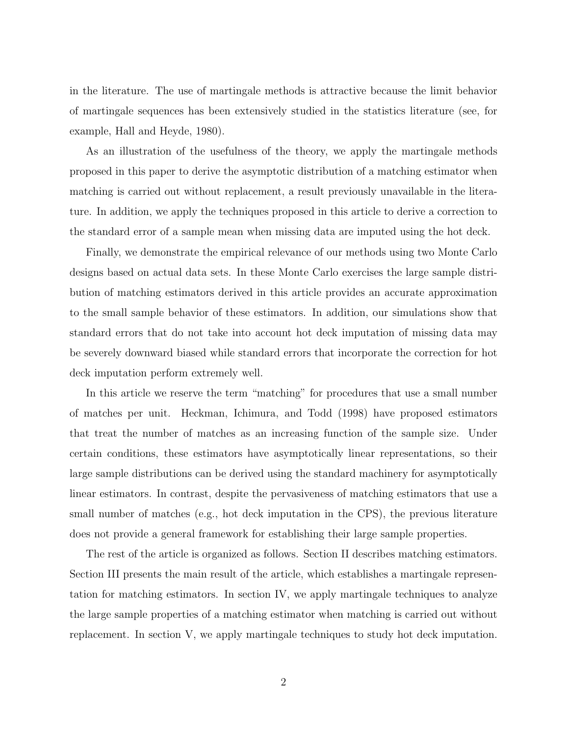in the literature. The use of martingale methods is attractive because the limit behavior of martingale sequences has been extensively studied in the statistics literature (see, for example, Hall and Heyde, 1980).

As an illustration of the usefulness of the theory, we apply the martingale methods proposed in this paper to derive the asymptotic distribution of a matching estimator when matching is carried out without replacement, a result previously unavailable in the literature. In addition, we apply the techniques proposed in this article to derive a correction to the standard error of a sample mean when missing data are imputed using the hot deck.

Finally, we demonstrate the empirical relevance of our methods using two Monte Carlo designs based on actual data sets. In these Monte Carlo exercises the large sample distribution of matching estimators derived in this article provides an accurate approximation to the small sample behavior of these estimators. In addition, our simulations show that standard errors that do not take into account hot deck imputation of missing data may be severely downward biased while standard errors that incorporate the correction for hot deck imputation perform extremely well.

In this article we reserve the term "matching" for procedures that use a small number of matches per unit. Heckman, Ichimura, and Todd (1998) have proposed estimators that treat the number of matches as an increasing function of the sample size. Under certain conditions, these estimators have asymptotically linear representations, so their large sample distributions can be derived using the standard machinery for asymptotically linear estimators. In contrast, despite the pervasiveness of matching estimators that use a small number of matches (e.g., hot deck imputation in the CPS), the previous literature does not provide a general framework for establishing their large sample properties.

The rest of the article is organized as follows. Section II describes matching estimators. Section III presents the main result of the article, which establishes a martingale representation for matching estimators. In section IV, we apply martingale techniques to analyze the large sample properties of a matching estimator when matching is carried out without replacement. In section V, we apply martingale techniques to study hot deck imputation.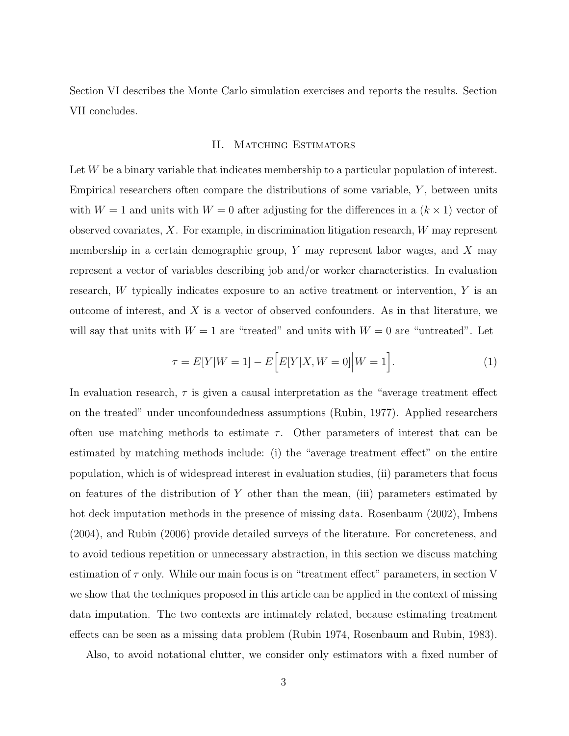Section VI describes the Monte Carlo simulation exercises and reports the results. Section VII concludes.

## II. MATCHING ESTIMATORS

Let W be a binary variable that indicates membership to a particular population of interest. Empirical researchers often compare the distributions of some variable,  $Y$ , between units with  $W = 1$  and units with  $W = 0$  after adjusting for the differences in a  $(k \times 1)$  vector of observed covariates,  $X$ . For example, in discrimination litigation research,  $W$  may represent membership in a certain demographic group,  $Y$  may represent labor wages, and  $X$  may represent a vector of variables describing job and/or worker characteristics. In evaluation research, W typically indicates exposure to an active treatment or intervention, Y is an outcome of interest, and X is a vector of observed confounders. As in that literature, we will say that units with  $W = 1$  are "treated" and units with  $W = 0$  are "untreated". Let

$$
\tau = E[Y|W=1] - E\Big[E[Y|X,W=0]\Big|W=1\Big].
$$
\n(1)

In evaluation research,  $\tau$  is given a causal interpretation as the "average treatment effect on the treated" under unconfoundedness assumptions (Rubin, 1977). Applied researchers often use matching methods to estimate  $\tau$ . Other parameters of interest that can be estimated by matching methods include: (i) the "average treatment effect" on the entire population, which is of widespread interest in evaluation studies, (ii) parameters that focus on features of the distribution of  $Y$  other than the mean, (iii) parameters estimated by hot deck imputation methods in the presence of missing data. Rosenbaum (2002), Imbens (2004), and Rubin (2006) provide detailed surveys of the literature. For concreteness, and to avoid tedious repetition or unnecessary abstraction, in this section we discuss matching estimation of  $\tau$  only. While our main focus is on "treatment effect" parameters, in section V we show that the techniques proposed in this article can be applied in the context of missing data imputation. The two contexts are intimately related, because estimating treatment effects can be seen as a missing data problem (Rubin 1974, Rosenbaum and Rubin, 1983).

Also, to avoid notational clutter, we consider only estimators with a fixed number of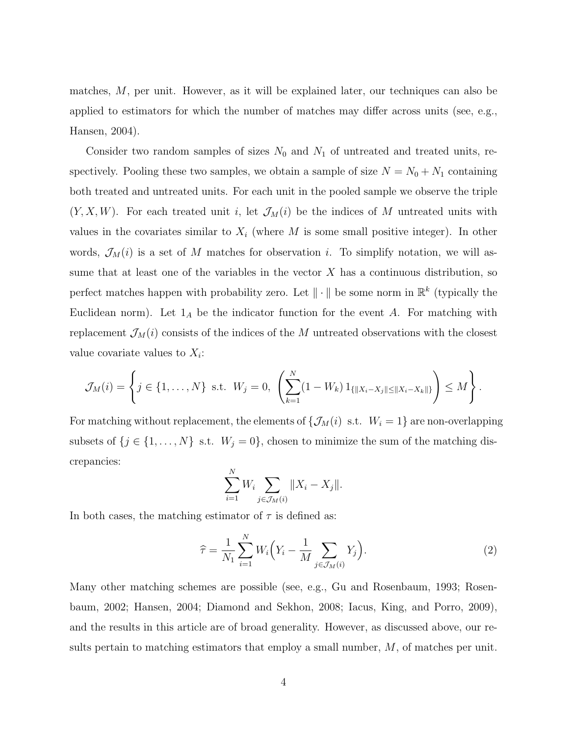matches, M, per unit. However, as it will be explained later, our techniques can also be applied to estimators for which the number of matches may differ across units (see, e.g., Hansen, 2004).

Consider two random samples of sizes  $N_0$  and  $N_1$  of untreated and treated units, respectively. Pooling these two samples, we obtain a sample of size  $N = N_0 + N_1$  containing both treated and untreated units. For each unit in the pooled sample we observe the triple  $(Y, X, W)$ . For each treated unit i, let  $\mathcal{J}_M(i)$  be the indices of M untreated units with values in the covariates similar to  $X_i$  (where M is some small positive integer). In other words,  $\mathcal{J}_M(i)$  is a set of M matches for observation i. To simplify notation, we will assume that at least one of the variables in the vector  $X$  has a continuous distribution, so perfect matches happen with probability zero. Let  $\|\cdot\|$  be some norm in  $\mathbb{R}^k$  (typically the Euclidean norm). Let  $1_A$  be the indicator function for the event A. For matching with replacement  $\mathcal{J}_M(i)$  consists of the indices of the M untreated observations with the closest value covariate values to  $X_i$ :

$$
\mathcal{J}_M(i) = \left\{ j \in \{1, ..., N\} \text{ s.t. } W_j = 0, \left( \sum_{k=1}^N (1 - W_k) 1_{\{\|X_i - X_j\| \le \|X_i - X_k\|\}} \right) \le M \right\}.
$$

For matching without replacement, the elements of  $\{\mathcal{J}_M(i) \text{ s.t. } W_i = 1\}$  are non-overlapping subsets of  $\{j \in \{1, ..., N\}$  s.t.  $W_j = 0\}$ , chosen to minimize the sum of the matching discrepancies:

$$
\sum_{i=1}^{N} W_i \sum_{j \in \mathcal{J}_M(i)} \|X_i - X_j\|.
$$

In both cases, the matching estimator of  $\tau$  is defined as:

$$
\widehat{\tau} = \frac{1}{N_1} \sum_{i=1}^{N} W_i \left( Y_i - \frac{1}{M} \sum_{j \in \mathcal{J}_M(i)} Y_j \right). \tag{2}
$$

Many other matching schemes are possible (see, e.g., Gu and Rosenbaum, 1993; Rosenbaum, 2002; Hansen, 2004; Diamond and Sekhon, 2008; Iacus, King, and Porro, 2009), and the results in this article are of broad generality. However, as discussed above, our results pertain to matching estimators that employ a small number,  $M$ , of matches per unit.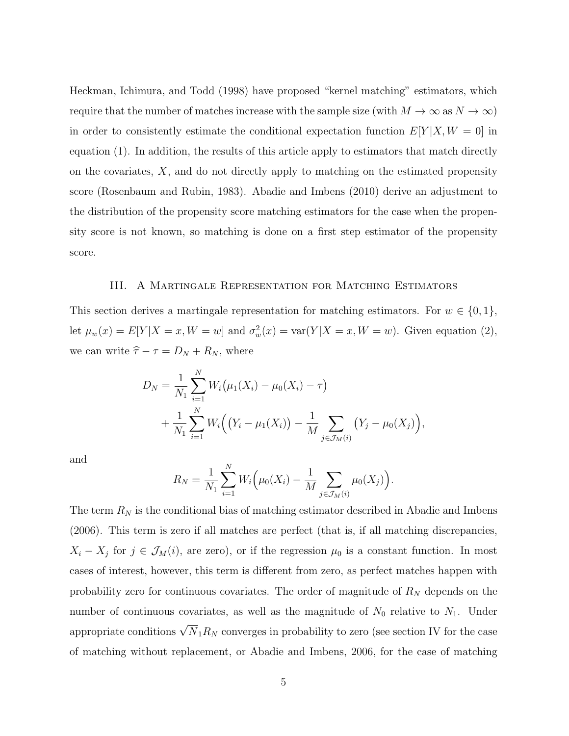Heckman, Ichimura, and Todd (1998) have proposed "kernel matching" estimators, which require that the number of matches increase with the sample size (with  $M \to \infty$  as  $N \to \infty$ ) in order to consistently estimate the conditional expectation function  $E[Y|X, W = 0]$  in equation (1). In addition, the results of this article apply to estimators that match directly on the covariates, X, and do not directly apply to matching on the estimated propensity score (Rosenbaum and Rubin, 1983). Abadie and Imbens (2010) derive an adjustment to the distribution of the propensity score matching estimators for the case when the propensity score is not known, so matching is done on a first step estimator of the propensity score.

#### III. A Martingale Representation for Matching Estimators

This section derives a martingale representation for matching estimators. For  $w \in \{0, 1\}$ , let  $\mu_w(x) = E[Y|X=x, W=w]$  and  $\sigma_w^2(x) = \text{var}(Y|X=x, W=w)$ . Given equation (2), we can write  $\hat{\tau} - \tau = D_N + R_N$ , where

$$
D_N = \frac{1}{N_1} \sum_{i=1}^N W_i (\mu_1(X_i) - \mu_0(X_i) - \tau)
$$
  
+ 
$$
\frac{1}{N_1} \sum_{i=1}^N W_i ((Y_i - \mu_1(X_i)) - \frac{1}{M} \sum_{j \in \mathcal{J}_M(i)} (Y_j - \mu_0(X_j)),
$$

and

$$
R_N = \frac{1}{N_1} \sum_{i=1}^N W_i \Big( \mu_0(X_i) - \frac{1}{M} \sum_{j \in \mathcal{J}_M(i)} \mu_0(X_j) \Big).
$$

The term  $R_N$  is the conditional bias of matching estimator described in Abadie and Imbens (2006). This term is zero if all matches are perfect (that is, if all matching discrepancies,  $X_i - X_j$  for  $j \in \mathcal{J}_M(i)$ , are zero), or if the regression  $\mu_0$  is a constant function. In most cases of interest, however, this term is different from zero, as perfect matches happen with probability zero for continuous covariates. The order of magnitude of  $R_N$  depends on the number of continuous covariates, as well as the magnitude of  $N_0$  relative to  $N_1$ . Under appropriate conditions  $\sqrt{N}_1 R_N$  converges in probability to zero (see section IV for the case of matching without replacement, or Abadie and Imbens, 2006, for the case of matching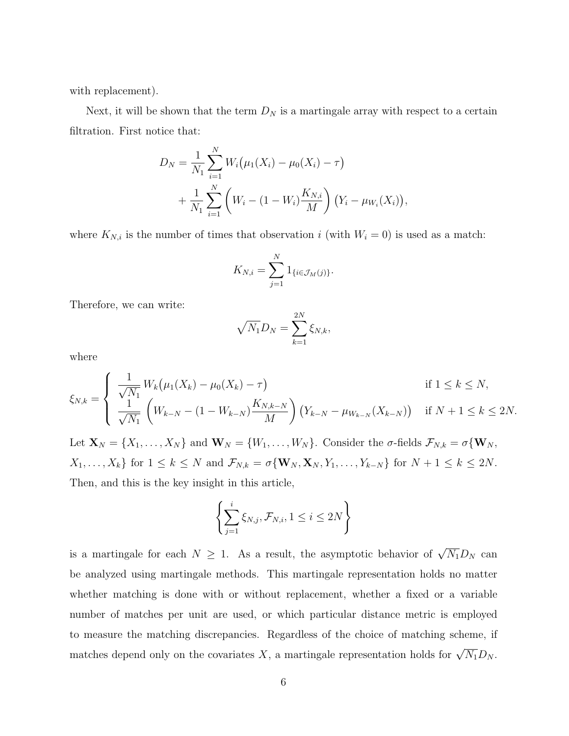with replacement).

Next, it will be shown that the term  $D_N$  is a martingale array with respect to a certain filtration. First notice that:

$$
D_N = \frac{1}{N_1} \sum_{i=1}^N W_i (\mu_1(X_i) - \mu_0(X_i) - \tau)
$$
  
+ 
$$
\frac{1}{N_1} \sum_{i=1}^N \left( W_i - (1 - W_i) \frac{K_{N,i}}{M} \right) (Y_i - \mu_{W_i}(X_i)),
$$

where  $K_{N,i}$  is the number of times that observation i (with  $W_i = 0$ ) is used as a match:

$$
K_{N,i} = \sum_{j=1}^N 1_{\{i \in \mathcal{J}_M(j)\}}.
$$

Therefore, we can write:

$$
\sqrt{N_1}D_N=\sum_{k=1}^{2N}\xi_{N,k},
$$

where

$$
\xi_{N,k} = \begin{cases} \frac{1}{\sqrt{N_1}} W_k \big( \mu_1(X_k) - \mu_0(X_k) - \tau \big) & \text{if } 1 \le k \le N, \\ \frac{1}{\sqrt{N_1}} \left( W_{k-N} - (1 - W_{k-N}) \frac{K_{N,k-N}}{M} \right) \big( Y_{k-N} - \mu_{W_{k-N}}(X_{k-N}) \big) & \text{if } N+1 \le k \le 2N. \end{cases}
$$

Let  $\mathbf{X}_N = \{X_1, \ldots, X_N\}$  and  $\mathbf{W}_N = \{W_1, \ldots, W_N\}$ . Consider the  $\sigma$ -fields  $\mathcal{F}_{N,k} = \sigma\{\mathbf{W}_N, \sigma\}$  $X_1, \ldots, X_k$  for  $1 \leq k \leq N$  and  $\mathcal{F}_{N,k} = \sigma \{\mathbf{W}_N, \mathbf{X}_N, Y_1, \ldots, Y_{k-N}\}$  for  $N+1 \leq k \leq 2N$ . Then, and this is the key insight in this article,

$$
\left\{\sum_{j=1}^{i} \xi_{N,j}, \mathcal{F}_{N,i}, 1 \leq i \leq 2N\right\}
$$

is a martingale for each  $N \geq 1$ . As a result, the asymptotic behavior of  $\sqrt{N_1}D_N$  can be analyzed using martingale methods. This martingale representation holds no matter whether matching is done with or without replacement, whether a fixed or a variable number of matches per unit are used, or which particular distance metric is employed to measure the matching discrepancies. Regardless of the choice of matching scheme, if matches depend only on the covariates X, a martingale representation holds for  $\sqrt{N_1}D_N$ .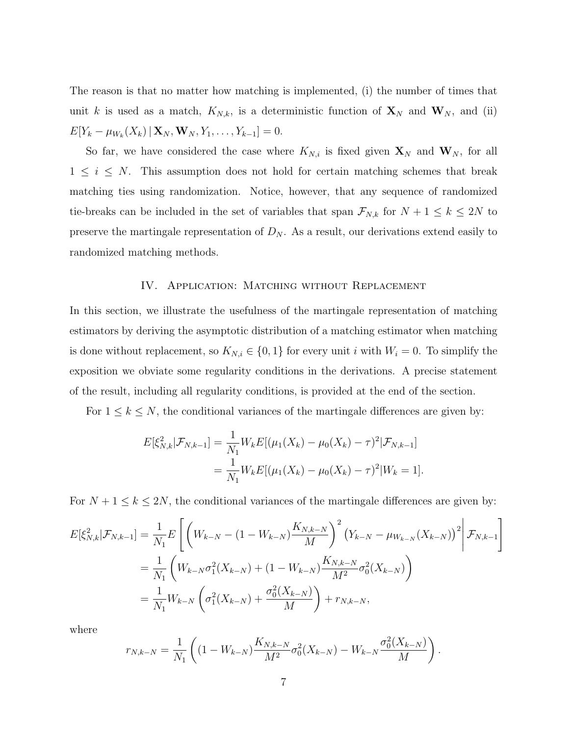The reason is that no matter how matching is implemented, (i) the number of times that unit k is used as a match,  $K_{N,k}$ , is a deterministic function of  $\mathbf{X}_N$  and  $\mathbf{W}_N$ , and (ii)  $E[Y_k - \mu_{W_k}(X_k) | \mathbf{X}_N, \mathbf{W}_N, Y_1, \dots, Y_{k-1}] = 0.$ 

So far, we have considered the case where  $K_{N,i}$  is fixed given  $\mathbf{X}_N$  and  $\mathbf{W}_N$ , for all  $1 \leq i \leq N$ . This assumption does not hold for certain matching schemes that break matching ties using randomization. Notice, however, that any sequence of randomized tie-breaks can be included in the set of variables that span  $\mathcal{F}_{N,k}$  for  $N+1 \leq k \leq 2N$  to preserve the martingale representation of  $D_N$ . As a result, our derivations extend easily to randomized matching methods.

## IV. APPLICATION: MATCHING WITHOUT REPLACEMENT

In this section, we illustrate the usefulness of the martingale representation of matching estimators by deriving the asymptotic distribution of a matching estimator when matching is done without replacement, so  $K_{N,i} \in \{0,1\}$  for every unit i with  $W_i = 0$ . To simplify the exposition we obviate some regularity conditions in the derivations. A precise statement of the result, including all regularity conditions, is provided at the end of the section.

For  $1 \leq k \leq N$ , the conditional variances of the martingale differences are given by:

$$
E[\xi_{N,k}^2 | \mathcal{F}_{N,k-1}] = \frac{1}{N_1} W_k E[(\mu_1(X_k) - \mu_0(X_k) - \tau)^2 | \mathcal{F}_{N,k-1}]
$$
  
= 
$$
\frac{1}{N_1} W_k E[(\mu_1(X_k) - \mu_0(X_k) - \tau)^2 | W_k = 1].
$$

For  $N + 1 \le k \le 2N$ , the conditional variances of the martingale differences are given by:

$$
E[\xi_{N,k}^{2}|\mathcal{F}_{N,k-1}] = \frac{1}{N_{1}}E\left[\left(W_{k-N} - (1 - W_{k-N})\frac{K_{N,k-N}}{M}\right)^{2}\left(Y_{k-N} - \mu_{W_{k-N}}(X_{k-N})\right)^{2}\bigg|\mathcal{F}_{N,k-1}\right]
$$

$$
= \frac{1}{N_{1}}\left(W_{k-N}\sigma_{1}^{2}(X_{k-N}) + (1 - W_{k-N})\frac{K_{N,k-N}}{M^{2}}\sigma_{0}^{2}(X_{k-N})\right)
$$

$$
= \frac{1}{N_{1}}W_{k-N}\left(\sigma_{1}^{2}(X_{k-N}) + \frac{\sigma_{0}^{2}(X_{k-N})}{M}\right) + r_{N,k-N},
$$

where

$$
r_{N,k-N} = \frac{1}{N_1} \left( (1 - W_{k-N}) \frac{K_{N,k-N}}{M^2} \sigma_0^2(X_{k-N}) - W_{k-N} \frac{\sigma_0^2(X_{k-N})}{M} \right).
$$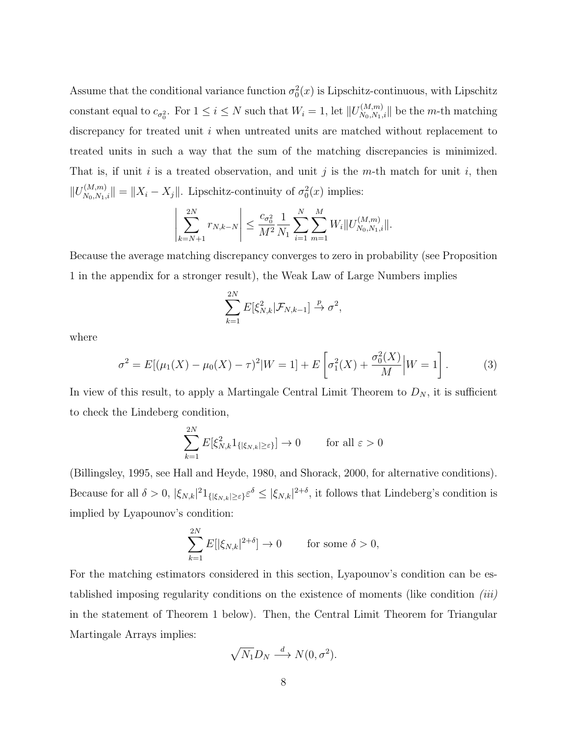Assume that the conditional variance function  $\sigma_0^2(x)$  is Lipschitz-continuous, with Lipschitz constant equal to  $c_{\sigma_0^2}$ . For  $1 \leq i \leq N$  such that  $W_i = 1$ , let  $||U_{N_0,N_1,i}^{(M,m)}||$  be the *m*-th matching discrepancy for treated unit i when untreated units are matched without replacement to treated units in such a way that the sum of the matching discrepancies is minimized. That is, if unit i is a treated observation, and unit j is the m-th match for unit i, then  $||U_{N_0,N_1,i}^{(M,m)}|| = ||X_i - X_j||$ . Lipschitz-continuity of  $\sigma_0^2(x)$  implies:

$$
\left|\sum_{k=N+1}^{2N} r_{N,k-N}\right| \leq \frac{c_{\sigma_0^2}}{M^2} \frac{1}{N_1} \sum_{i=1}^{N} \sum_{m=1}^{M} W_i ||U_{N_0,N_1,i}^{(M,m)}||.
$$

Because the average matching discrepancy converges to zero in probability (see Proposition 1 in the appendix for a stronger result), the Weak Law of Large Numbers implies

$$
\sum_{k=1}^{2N} E[\xi_{N,k}^2 | \mathcal{F}_{N,k-1}] \stackrel{p}{\to} \sigma^2,
$$

where

$$
\sigma^2 = E[(\mu_1(X) - \mu_0(X) - \tau)^2 | W = 1] + E\left[\sigma_1^2(X) + \frac{\sigma_0^2(X)}{M}\middle| W = 1\right].
$$
 (3)

In view of this result, to apply a Martingale Central Limit Theorem to  $D_N$ , it is sufficient to check the Lindeberg condition,

$$
\sum_{k=1}^{2N} E[\xi_{N,k}^2 1_{\{|\xi_{N,k}| \ge \varepsilon\}}] \to 0 \quad \text{for all } \varepsilon > 0
$$

(Billingsley, 1995, see Hall and Heyde, 1980, and Shorack, 2000, for alternative conditions). Because for all  $\delta > 0$ ,  $|\xi_{N,k}|^2 1_{\{|\xi_{N,k}| \geq \varepsilon\}} \varepsilon^{\delta} \leq |\xi_{N,k}|^{2+\delta}$ , it follows that Lindeberg's condition is implied by Lyapounov's condition:

$$
\sum_{k=1}^{2N} E[|\xi_{N,k}|^{2+\delta}] \to 0 \quad \text{for some } \delta > 0,
$$

For the matching estimators considered in this section, Lyapounov's condition can be established imposing regularity conditions on the existence of moments (like condition (iii) in the statement of Theorem 1 below). Then, the Central Limit Theorem for Triangular Martingale Arrays implies:

$$
\sqrt{N_1}D_N \stackrel{d}{\longrightarrow} N(0, \sigma^2).
$$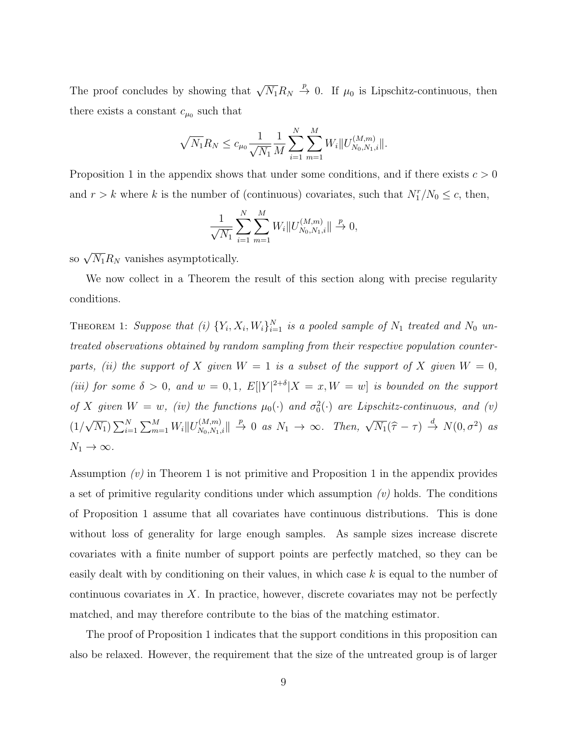The proof concludes by showing that  $\sqrt{N_1}R_N \stackrel{p}{\rightarrow} 0$ . If  $\mu_0$  is Lipschitz-continuous, then there exists a constant  $c_{\mu_0}$  such that

$$
\sqrt{N_1}R_N \le c_{\mu_0} \frac{1}{\sqrt{N_1}} \frac{1}{M} \sum_{i=1}^N \sum_{m=1}^M W_i ||U_{N_0, N_1, i}^{(M, m)}||.
$$

Proposition 1 in the appendix shows that under some conditions, and if there exists  $c > 0$ and  $r > k$  where k is the number of (continuous) covariates, such that  $N_1^r/N_0 \leq c$ , then,

$$
\frac{1}{\sqrt{N_1}} \sum_{i=1}^{N} \sum_{m=1}^{M} W_i ||U_{N_0, N_1, i}^{(M, m)}|| \stackrel{p}{\to} 0,
$$

so  $\sqrt{N_1}R_N$  vanishes asymptotically.

We now collect in a Theorem the result of this section along with precise regularity conditions.

THEOREM 1: Suppose that (i)  ${Y_i, X_i, W_i}_{i=1}^N$  is a pooled sample of  $N_1$  treated and  $N_0$  untreated observations obtained by random sampling from their respective population counterparts, (ii) the support of X given  $W = 1$  is a subset of the support of X given  $W = 0$ , (iii) for some  $\delta > 0$ , and  $w = 0, 1$ ,  $E[|Y|^{2+\delta}|X=x, W=w]$  is bounded on the support of X given  $W = w$ , (iv) the functions  $\mu_0(\cdot)$  and  $\sigma_0^2(\cdot)$  are Lipschitz-continuous, and (v)  $(1/$ √  $\overline{N_1}$ )  $\sum_{i=1}^N \sum_{m=1}^M W_i ||U_{N_0,N_1,i}^{(M,m)}|| \stackrel{p}{\to} 0$  as  $N_1 \to \infty$ . Then,  $\sqrt{N_1}(\hat{\tau} - \tau) \stackrel{d}{\to} N(0, \sigma^2)$  as  $N_1 \to \infty$ .

Assumption  $(v)$  in Theorem 1 is not primitive and Proposition 1 in the appendix provides a set of primitive regularity conditions under which assumption  $(v)$  holds. The conditions of Proposition 1 assume that all covariates have continuous distributions. This is done without loss of generality for large enough samples. As sample sizes increase discrete covariates with a finite number of support points are perfectly matched, so they can be easily dealt with by conditioning on their values, in which case  $k$  is equal to the number of continuous covariates in X. In practice, however, discrete covariates may not be perfectly matched, and may therefore contribute to the bias of the matching estimator.

The proof of Proposition 1 indicates that the support conditions in this proposition can also be relaxed. However, the requirement that the size of the untreated group is of larger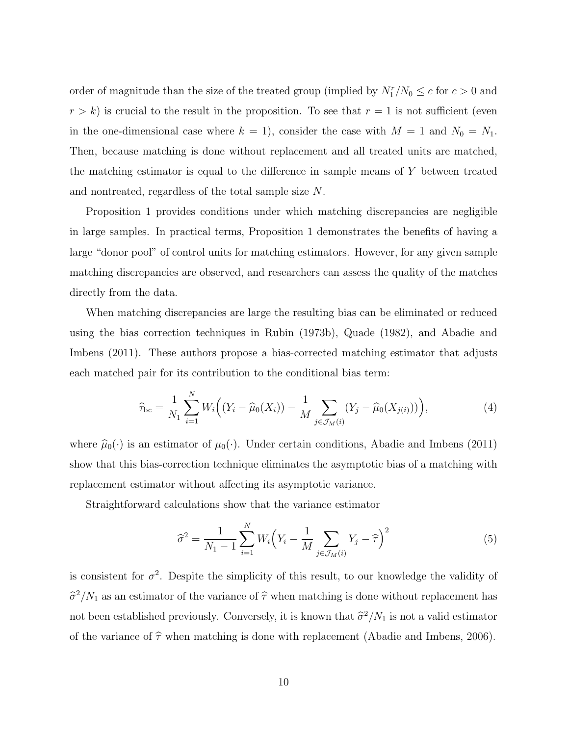order of magnitude than the size of the treated group (implied by  $N_1^r/N_0 \leq c$  for  $c > 0$  and  $r > k$ ) is crucial to the result in the proposition. To see that  $r = 1$  is not sufficient (even in the one-dimensional case where  $k = 1$ , consider the case with  $M = 1$  and  $N_0 = N_1$ . Then, because matching is done without replacement and all treated units are matched, the matching estimator is equal to the difference in sample means of Y between treated and nontreated, regardless of the total sample size N.

Proposition 1 provides conditions under which matching discrepancies are negligible in large samples. In practical terms, Proposition 1 demonstrates the benefits of having a large "donor pool" of control units for matching estimators. However, for any given sample matching discrepancies are observed, and researchers can assess the quality of the matches directly from the data.

When matching discrepancies are large the resulting bias can be eliminated or reduced using the bias correction techniques in Rubin (1973b), Quade (1982), and Abadie and Imbens (2011). These authors propose a bias-corrected matching estimator that adjusts each matched pair for its contribution to the conditional bias term:

$$
\widehat{\tau}_{bc} = \frac{1}{N_1} \sum_{i=1}^{N} W_i \Big( (Y_i - \widehat{\mu}_0(X_i)) - \frac{1}{M} \sum_{j \in \mathcal{J}_M(i)} (Y_j - \widehat{\mu}_0(X_{j(i)})) \Big), \tag{4}
$$

where  $\hat{\mu}_0(\cdot)$  is an estimator of  $\mu_0(\cdot)$ . Under certain conditions, Abadie and Imbens (2011) show that this bias-correction technique eliminates the asymptotic bias of a matching with replacement estimator without affecting its asymptotic variance.

Straightforward calculations show that the variance estimator

$$
\hat{\sigma}^2 = \frac{1}{N_1 - 1} \sum_{i=1}^{N} W_i \left( Y_i - \frac{1}{M} \sum_{j \in \mathcal{J}_M(i)} Y_j - \hat{\tau} \right)^2
$$
(5)

is consistent for  $\sigma^2$ . Despite the simplicity of this result, to our knowledge the validity of  $\hat{\sigma}^2/N_1$  as an estimator of the variance of  $\hat{\tau}$  when matching is done without replacement has not been established previously. Conversely, it is known that  $\frac{\partial^2}{N_1}$  is not a valid estimator of the variance of  $\hat{\tau}$  when matching is done with replacement (Abadie and Imbens, 2006).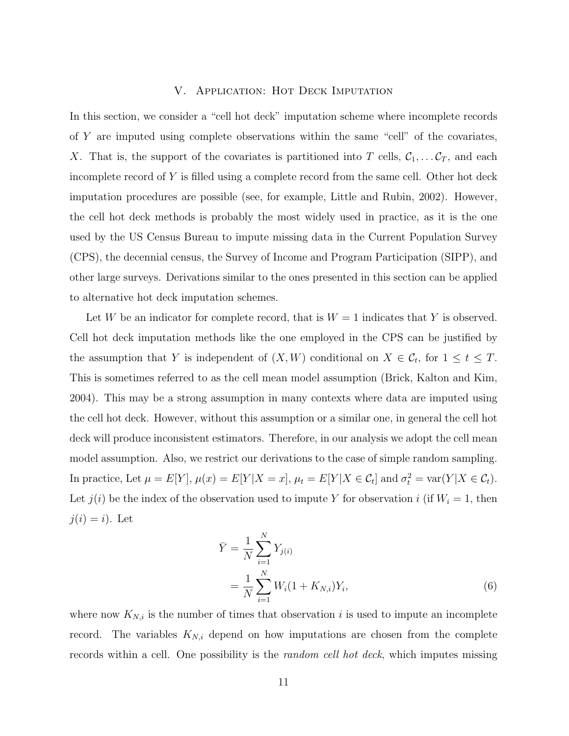## V. Application: Hot Deck Imputation

In this section, we consider a "cell hot deck" imputation scheme where incomplete records of Y are imputed using complete observations within the same "cell" of the covariates, X. That is, the support of the covariates is partitioned into T cells,  $C_1, \ldots, C_T$ , and each incomplete record of Y is filled using a complete record from the same cell. Other hot deck imputation procedures are possible (see, for example, Little and Rubin, 2002). However, the cell hot deck methods is probably the most widely used in practice, as it is the one used by the US Census Bureau to impute missing data in the Current Population Survey (CPS), the decennial census, the Survey of Income and Program Participation (SIPP), and other large surveys. Derivations similar to the ones presented in this section can be applied to alternative hot deck imputation schemes.

Let W be an indicator for complete record, that is  $W = 1$  indicates that Y is observed. Cell hot deck imputation methods like the one employed in the CPS can be justified by the assumption that Y is independent of  $(X, W)$  conditional on  $X \in \mathcal{C}_t$ , for  $1 \le t \le T$ . This is sometimes referred to as the cell mean model assumption (Brick, Kalton and Kim, 2004). This may be a strong assumption in many contexts where data are imputed using the cell hot deck. However, without this assumption or a similar one, in general the cell hot deck will produce inconsistent estimators. Therefore, in our analysis we adopt the cell mean model assumption. Also, we restrict our derivations to the case of simple random sampling. In practice, Let  $\mu = E[Y], \mu(x) = E[Y|X=x], \mu_t = E[Y|X \in \mathcal{C}_t]$  and  $\sigma_t^2 = \text{var}(Y|X \in \mathcal{C}_t)$ . Let  $j(i)$  be the index of the observation used to impute Y for observation i (if  $W_i = 1$ , then  $j(i) = i$ . Let

$$
\bar{Y} = \frac{1}{N} \sum_{i=1}^{N} Y_{j(i)}
$$
\n
$$
= \frac{1}{N} \sum_{i=1}^{N} W_i (1 + K_{N,i}) Y_i,
$$
\n(6)

where now  $K_{N,i}$  is the number of times that observation i is used to impute an incomplete record. The variables  $K_{N,i}$  depend on how imputations are chosen from the complete records within a cell. One possibility is the random cell hot deck, which imputes missing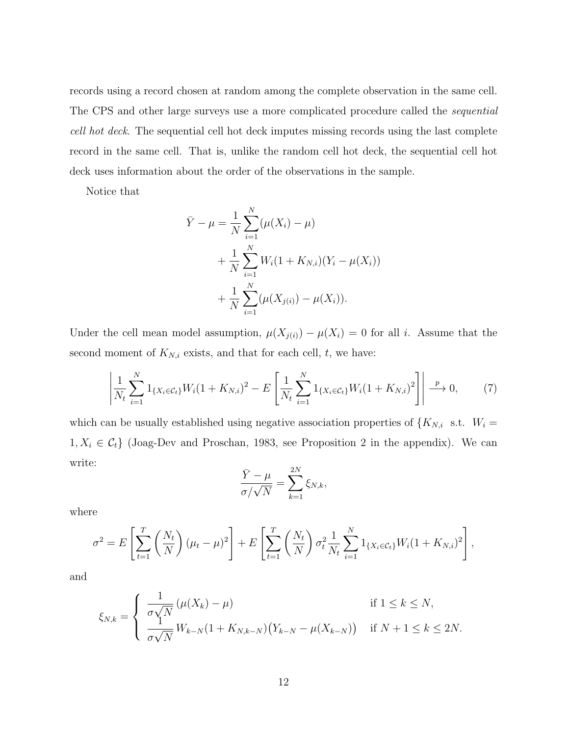records using a record chosen at random among the complete observation in the same cell. The CPS and other large surveys use a more complicated procedure called the sequential cell hot deck. The sequential cell hot deck imputes missing records using the last complete record in the same cell. That is, unlike the random cell hot deck, the sequential cell hot deck uses information about the order of the observations in the sample.

Notice that

$$
\bar{Y} - \mu = \frac{1}{N} \sum_{i=1}^{N} (\mu(X_i) - \mu)
$$
  
+ 
$$
\frac{1}{N} \sum_{i=1}^{N} W_i (1 + K_{N,i}) (Y_i - \mu(X_i))
$$
  
+ 
$$
\frac{1}{N} \sum_{i=1}^{N} (\mu(X_{j(i)}) - \mu(X_i)).
$$

Under the cell mean model assumption,  $\mu(X_{i}(i)) - \mu(X_i) = 0$  for all i. Assume that the second moment of  $K_{N,i}$  exists, and that for each cell,  $t$ , we have:

$$
\left| \frac{1}{N_t} \sum_{i=1}^N 1_{\{X_i \in \mathcal{C}_t\}} W_i (1 + K_{N,i})^2 - E \left[ \frac{1}{N_t} \sum_{i=1}^N 1_{\{X_i \in \mathcal{C}_t\}} W_i (1 + K_{N,i})^2 \right] \right| \xrightarrow{p} 0, \tag{7}
$$

which can be usually established using negative association properties of  $\{K_{N,i}$  s.t.  $W_i =$  $1, X_i \in C_t$  (Joag-Dev and Proschan, 1983, see Proposition 2 in the appendix). We can write:

$$
\frac{\bar{Y} - \mu}{\sigma / \sqrt{N}} = \sum_{k=1}^{2N} \xi_{N,k},
$$

where

$$
\sigma^{2} = E\left[\sum_{t=1}^{T} \left(\frac{N_{t}}{N}\right)(\mu_{t} - \mu)^{2}\right] + E\left[\sum_{t=1}^{T} \left(\frac{N_{t}}{N}\right)\sigma_{t}^{2}\frac{1}{N_{t}}\sum_{i=1}^{N}1_{\{X_{i}\in\mathcal{C}_{t}\}}W_{i}(1 + K_{N,i})^{2}\right],
$$

and

$$
\xi_{N,k} = \begin{cases} \frac{1}{\sigma\sqrt{N}}\left(\mu(X_k) - \mu\right) & \text{if } 1 \le k \le N, \\ \frac{1}{\sigma\sqrt{N}}W_{k-N}(1 + K_{N,k-N})\left(Y_{k-N} - \mu(X_{k-N})\right) & \text{if } N+1 \le k \le 2N. \end{cases}
$$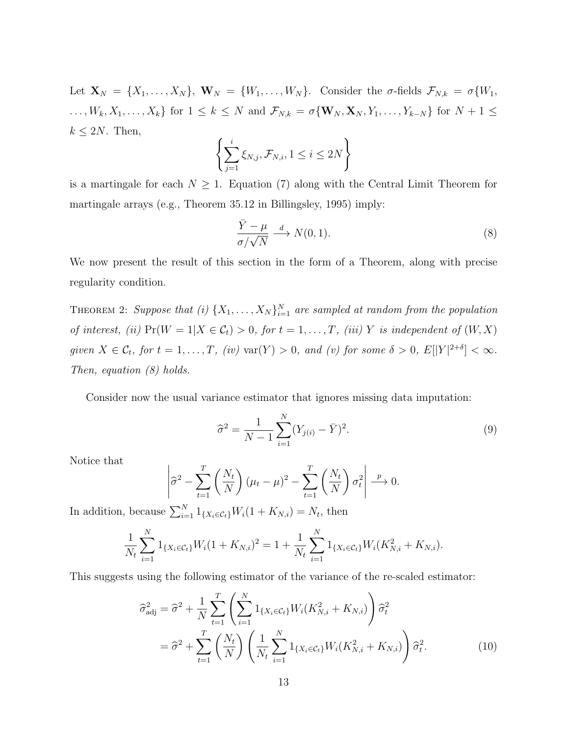Let  $\mathbf{X}_N = \{X_1, \ldots, X_N\}, \mathbf{W}_N = \{W_1, \ldots, W_N\}.$  Consider the  $\sigma$ -fields  $\mathcal{F}_{N,k} = \sigma\{W_1, \ldots, W_N\}$  $\ldots, W_k, X_1, \ldots, X_k$  for  $1 \leq k \leq N$  and  $\mathcal{F}_{N,k} = \sigma \{\mathbf{W}_N, \mathbf{X}_N, Y_1, \ldots, Y_{k-N}\}$  for  $N+1 \leq k \leq N$  $k \leq 2N$ . Then,

$$
\left\{\sum_{j=1}^{i} \xi_{N,j}, \mathcal{F}_{N,i}, 1 \leq i \leq 2N\right\}
$$

is a martingale for each  $N \geq 1$ . Equation (7) along with the Central Limit Theorem for martingale arrays (e.g., Theorem 35.12 in Billingsley, 1995) imply:

$$
\frac{\bar{Y} - \mu}{\sigma / \sqrt{N}} \xrightarrow{d} N(0, 1). \tag{8}
$$

We now present the result of this section in the form of a Theorem, along with precise regularity condition.

THEOREM 2: Suppose that (i)  $\{X_1, \ldots, X_N\}_{i=1}^N$  are sampled at random from the population of interest, (ii)  $Pr(W = 1 | X \in C_t) > 0$ , for  $t = 1, ..., T$ , (iii) Y is independent of  $(W, X)$ given  $X \in \mathcal{C}_t$ , for  $t = 1, ..., T$ , (iv)  $\text{var}(Y) > 0$ , and (v) for some  $\delta > 0$ ,  $E[|Y|^{2+\delta}] < \infty$ . Then, equation (8) holds.

Consider now the usual variance estimator that ignores missing data imputation:

$$
\widehat{\sigma}^2 = \frac{1}{N-1} \sum_{i=1}^{N} (Y_{j(i)} - \bar{Y})^2.
$$
\n(9)

Notice that

$$
\left|\widehat{\sigma}^2 - \sum_{t=1}^T \left(\frac{N_t}{N}\right)(\mu_t - \mu)^2 - \sum_{t=1}^T \left(\frac{N_t}{N}\right)\sigma_t^2\right| \stackrel{p}{\longrightarrow} 0.
$$

In addition, because  $\sum_{i=1}^{N} 1_{\{X_i \in \mathcal{C}_t\}} W_i(1 + K_{N,i}) = N_t$ , then

$$
\frac{1}{N_t} \sum_{i=1}^N 1_{\{X_i \in \mathcal{C}_t\}} W_i (1 + K_{N,i})^2 = 1 + \frac{1}{N_t} \sum_{i=1}^N 1_{\{X_i \in \mathcal{C}_t\}} W_i (K_{N,i}^2 + K_{N,i}).
$$

This suggests using the following estimator of the variance of the re-scaled estimator:

$$
\hat{\sigma}_{\text{adj}}^2 = \hat{\sigma}^2 + \frac{1}{N} \sum_{t=1}^T \left( \sum_{i=1}^N 1_{\{X_i \in \mathcal{C}_t\}} W_i (K_{N,i}^2 + K_{N,i}) \right) \hat{\sigma}_t^2
$$
  
=  $\hat{\sigma}^2 + \sum_{t=1}^T \left( \frac{N_t}{N} \right) \left( \frac{1}{N_t} \sum_{i=1}^N 1_{\{X_i \in \mathcal{C}_t\}} W_i (K_{N,i}^2 + K_{N,i}) \right) \hat{\sigma}_t^2.$  (10)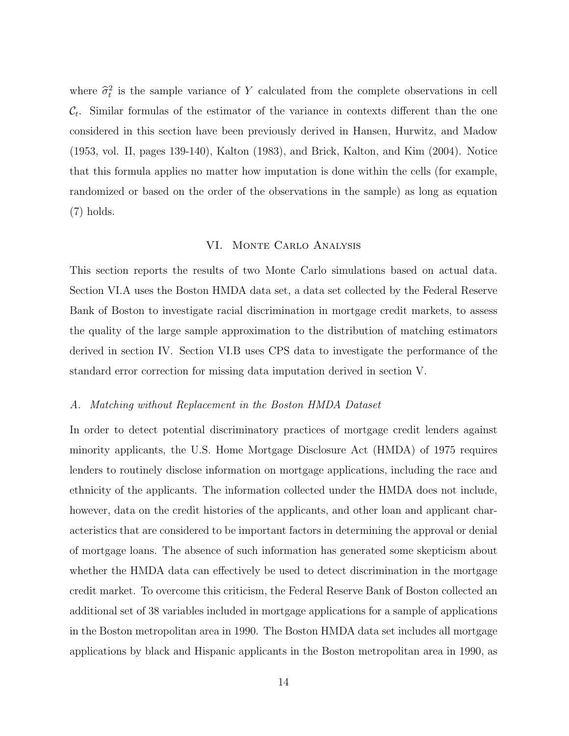where  $\hat{\sigma}_t^2$  is the sample variance of Y calculated from the complete observations in cell  $\mathcal{C}_t$ . Similar formulas of the estimator of the variance in contexts different than the one considered in this section have been previously derived in Hansen, Hurwitz, and Madow (1953, vol. II, pages 139-140), Kalton (1983), and Brick, Kalton, and Kim (2004). Notice that this formula applies no matter how imputation is done within the cells (for example, randomized or based on the order of the observations in the sample) as long as equation (7) holds.

## VI. Monte Carlo Analysis

This section reports the results of two Monte Carlo simulations based on actual data. Section VI.A uses the Boston HMDA data set, a data set collected by the Federal Reserve Bank of Boston to investigate racial discrimination in mortgage credit markets, to assess the quality of the large sample approximation to the distribution of matching estimators derived in section IV. Section VI.B uses CPS data to investigate the performance of the standard error correction for missing data imputation derived in section V.

## A. Matching without Replacement in the Boston HMDA Dataset

In order to detect potential discriminatory practices of mortgage credit lenders against minority applicants, the U.S. Home Mortgage Disclosure Act (HMDA) of 1975 requires lenders to routinely disclose information on mortgage applications, including the race and ethnicity of the applicants. The information collected under the HMDA does not include, however, data on the credit histories of the applicants, and other loan and applicant characteristics that are considered to be important factors in determining the approval or denial of mortgage loans. The absence of such information has generated some skepticism about whether the HMDA data can effectively be used to detect discrimination in the mortgage credit market. To overcome this criticism, the Federal Reserve Bank of Boston collected an additional set of 38 variables included in mortgage applications for a sample of applications in the Boston metropolitan area in 1990. The Boston HMDA data set includes all mortgage applications by black and Hispanic applicants in the Boston metropolitan area in 1990, as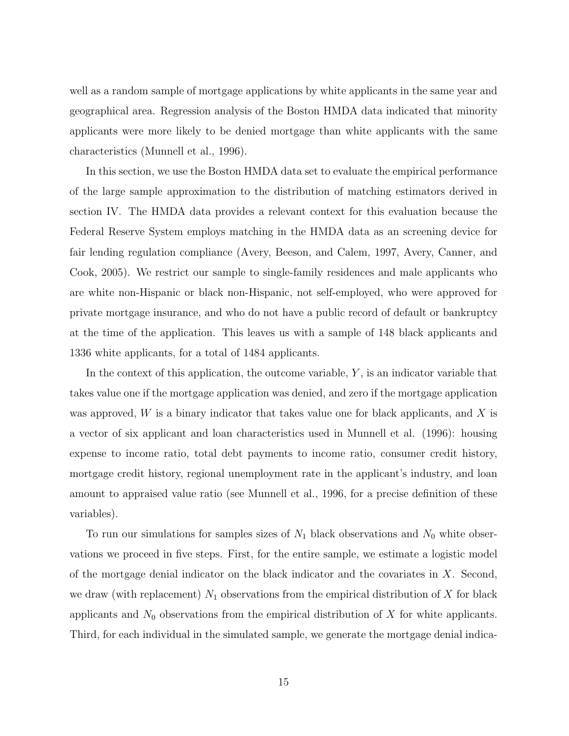well as a random sample of mortgage applications by white applicants in the same year and geographical area. Regression analysis of the Boston HMDA data indicated that minority applicants were more likely to be denied mortgage than white applicants with the same characteristics (Munnell et al., 1996).

In this section, we use the Boston HMDA data set to evaluate the empirical performance of the large sample approximation to the distribution of matching estimators derived in section IV. The HMDA data provides a relevant context for this evaluation because the Federal Reserve System employs matching in the HMDA data as an screening device for fair lending regulation compliance (Avery, Beeson, and Calem, 1997, Avery, Canner, and Cook, 2005). We restrict our sample to single-family residences and male applicants who are white non-Hispanic or black non-Hispanic, not self-employed, who were approved for private mortgage insurance, and who do not have a public record of default or bankruptcy at the time of the application. This leaves us with a sample of 148 black applicants and 1336 white applicants, for a total of 1484 applicants.

In the context of this application, the outcome variable,  $Y$ , is an indicator variable that takes value one if the mortgage application was denied, and zero if the mortgage application was approved,  $W$  is a binary indicator that takes value one for black applicants, and  $X$  is a vector of six applicant and loan characteristics used in Munnell et al. (1996): housing expense to income ratio, total debt payments to income ratio, consumer credit history, mortgage credit history, regional unemployment rate in the applicant's industry, and loan amount to appraised value ratio (see Munnell et al., 1996, for a precise definition of these variables).

To run our simulations for samples sizes of  $N_1$  black observations and  $N_0$  white observations we proceed in five steps. First, for the entire sample, we estimate a logistic model of the mortgage denial indicator on the black indicator and the covariates in  $X$ . Second, we draw (with replacement)  $N_1$  observations from the empirical distribution of X for black applicants and  $N_0$  observations from the empirical distribution of X for white applicants. Third, for each individual in the simulated sample, we generate the mortgage denial indica-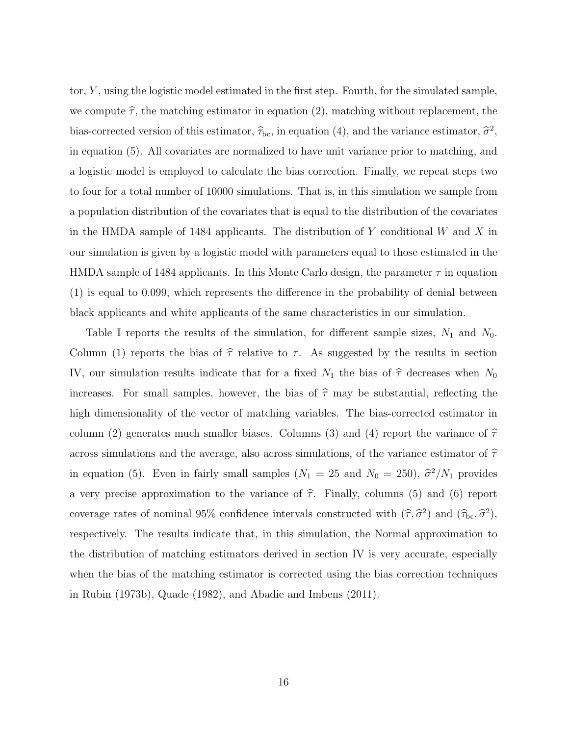tor,  $Y$ , using the logistic model estimated in the first step. Fourth, for the simulated sample, we compute  $\hat{\tau}$ , the matching estimator in equation (2), matching without replacement, the bias-corrected version of this estimator,  $\hat{\tau}_{bc}$ , in equation (4), and the variance estimator,  $\hat{\sigma}^2$ , in equation (5). All covariates are normalized to have unit variance prior to matching, and a logistic model is employed to calculate the bias correction. Finally, we repeat steps two to four for a total number of 10000 simulations. That is, in this simulation we sample from a population distribution of the covariates that is equal to the distribution of the covariates in the HMDA sample of 1484 applicants. The distribution of Y conditional W and X in our simulation is given by a logistic model with parameters equal to those estimated in the HMDA sample of 1484 applicants. In this Monte Carlo design, the parameter  $\tau$  in equation (1) is equal to 0.099, which represents the difference in the probability of denial between black applicants and white applicants of the same characteristics in our simulation.

Table I reports the results of the simulation, for different sample sizes,  $N_1$  and  $N_0$ . Column (1) reports the bias of  $\hat{\tau}$  relative to  $\tau$ . As suggested by the results in section IV, our simulation results indicate that for a fixed  $N_1$  the bias of  $\hat{\tau}$  decreases when  $N_0$ increases. For small samples, however, the bias of  $\hat{\tau}$  may be substantial, reflecting the high dimensionality of the vector of matching variables. The bias-corrected estimator in column (2) generates much smaller biases. Columns (3) and (4) report the variance of  $\hat{\tau}$ across simulations and the average, also across simulations, of the variance estimator of  $\hat{\tau}$ in equation (5). Even in fairly small samples  $(N_1 = 25 \text{ and } N_0 = 250)$ ,  $\hat{\sigma}^2/N_1$  provides a very precise approximation to the variance of  $\hat{\tau}$ . Finally, columns (5) and (6) report coverage rates of nominal 95% confidence intervals constructed with  $(\hat{\tau}, \hat{\sigma}^2)$  and  $(\hat{\tau}_{bc}, \hat{\sigma}^2)$ , respectively. The results indicate that, in this simulation, the Normal approximation to the distribution of matching estimators derived in section IV is very accurate, especially when the bias of the matching estimator is corrected using the bias correction techniques in Rubin (1973b), Quade (1982), and Abadie and Imbens (2011).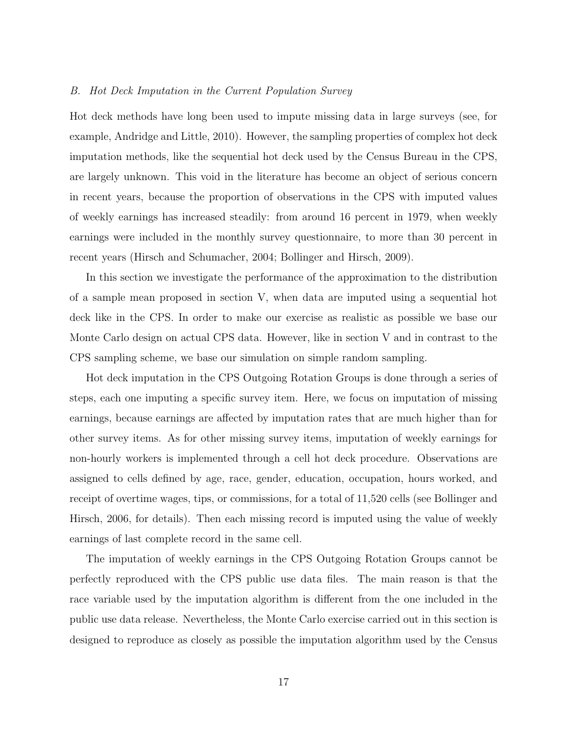## B. Hot Deck Imputation in the Current Population Survey

Hot deck methods have long been used to impute missing data in large surveys (see, for example, Andridge and Little, 2010). However, the sampling properties of complex hot deck imputation methods, like the sequential hot deck used by the Census Bureau in the CPS, are largely unknown. This void in the literature has become an object of serious concern in recent years, because the proportion of observations in the CPS with imputed values of weekly earnings has increased steadily: from around 16 percent in 1979, when weekly earnings were included in the monthly survey questionnaire, to more than 30 percent in recent years (Hirsch and Schumacher, 2004; Bollinger and Hirsch, 2009).

In this section we investigate the performance of the approximation to the distribution of a sample mean proposed in section V, when data are imputed using a sequential hot deck like in the CPS. In order to make our exercise as realistic as possible we base our Monte Carlo design on actual CPS data. However, like in section V and in contrast to the CPS sampling scheme, we base our simulation on simple random sampling.

Hot deck imputation in the CPS Outgoing Rotation Groups is done through a series of steps, each one imputing a specific survey item. Here, we focus on imputation of missing earnings, because earnings are affected by imputation rates that are much higher than for other survey items. As for other missing survey items, imputation of weekly earnings for non-hourly workers is implemented through a cell hot deck procedure. Observations are assigned to cells defined by age, race, gender, education, occupation, hours worked, and receipt of overtime wages, tips, or commissions, for a total of 11,520 cells (see Bollinger and Hirsch, 2006, for details). Then each missing record is imputed using the value of weekly earnings of last complete record in the same cell.

The imputation of weekly earnings in the CPS Outgoing Rotation Groups cannot be perfectly reproduced with the CPS public use data files. The main reason is that the race variable used by the imputation algorithm is different from the one included in the public use data release. Nevertheless, the Monte Carlo exercise carried out in this section is designed to reproduce as closely as possible the imputation algorithm used by the Census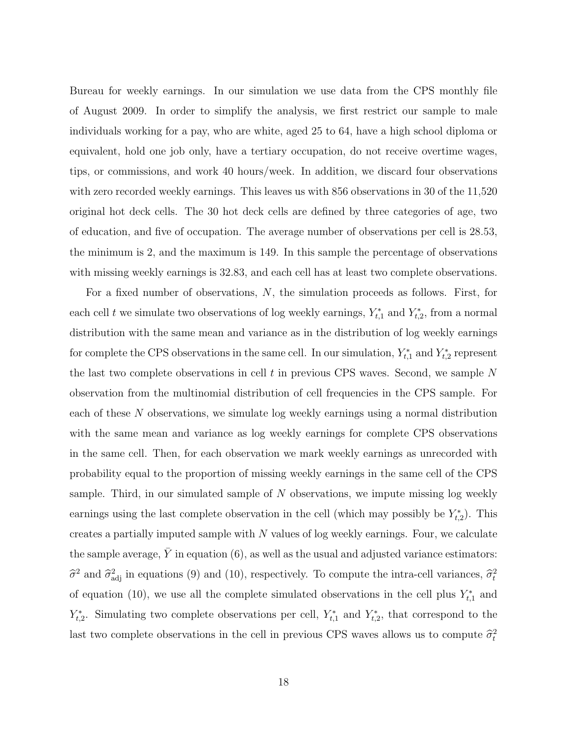Bureau for weekly earnings. In our simulation we use data from the CPS monthly file of August 2009. In order to simplify the analysis, we first restrict our sample to male individuals working for a pay, who are white, aged 25 to 64, have a high school diploma or equivalent, hold one job only, have a tertiary occupation, do not receive overtime wages, tips, or commissions, and work 40 hours/week. In addition, we discard four observations with zero recorded weekly earnings. This leaves us with 856 observations in 30 of the 11,520 original hot deck cells. The 30 hot deck cells are defined by three categories of age, two of education, and five of occupation. The average number of observations per cell is 28.53, the minimum is 2, and the maximum is 149. In this sample the percentage of observations with missing weekly earnings is 32.83, and each cell has at least two complete observations.

For a fixed number of observations, N, the simulation proceeds as follows. First, for each cell t we simulate two observations of log weekly earnings,  $Y_{t,1}^*$  and  $Y_{t,2}^*$ , from a normal distribution with the same mean and variance as in the distribution of log weekly earnings for complete the CPS observations in the same cell. In our simulation,  $Y_{t,1}^*$  and  $Y_{t,2}^*$  represent the last two complete observations in cell t in previous CPS waves. Second, we sample N observation from the multinomial distribution of cell frequencies in the CPS sample. For each of these N observations, we simulate log weekly earnings using a normal distribution with the same mean and variance as log weekly earnings for complete CPS observations in the same cell. Then, for each observation we mark weekly earnings as unrecorded with probability equal to the proportion of missing weekly earnings in the same cell of the CPS sample. Third, in our simulated sample of  $N$  observations, we impute missing log weekly earnings using the last complete observation in the cell (which may possibly be  $Y_{t,2}^*$ ). This creates a partially imputed sample with  $N$  values of log weekly earnings. Four, we calculate the sample average,  $\bar{Y}$  in equation (6), as well as the usual and adjusted variance estimators:  $\hat{\sigma}^2$  and  $\hat{\sigma}_{\text{adj}}^2$  in equations (9) and (10), respectively. To compute the intra-cell variances,  $\hat{\sigma}_t^2$ of equation (10), we use all the complete simulated observations in the cell plus  $Y_{t,1}^*$  and  $Y_{t,2}^*$ . Simulating two complete observations per cell,  $Y_{t,1}^*$  and  $Y_{t,2}^*$ , that correspond to the last two complete observations in the cell in previous CPS waves allows us to compute  $\hat{\sigma}_t^2$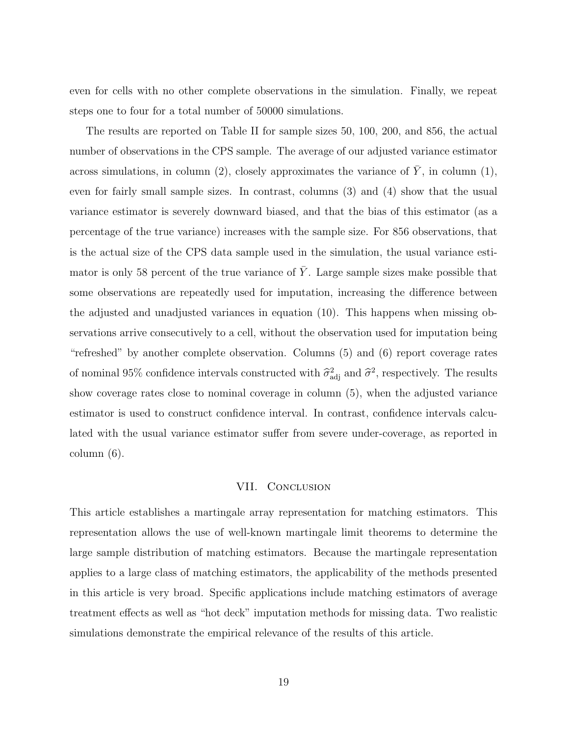even for cells with no other complete observations in the simulation. Finally, we repeat steps one to four for a total number of 50000 simulations.

The results are reported on Table II for sample sizes 50, 100, 200, and 856, the actual number of observations in the CPS sample. The average of our adjusted variance estimator across simulations, in column (2), closely approximates the variance of  $\overline{Y}$ , in column (1), even for fairly small sample sizes. In contrast, columns (3) and (4) show that the usual variance estimator is severely downward biased, and that the bias of this estimator (as a percentage of the true variance) increases with the sample size. For 856 observations, that is the actual size of the CPS data sample used in the simulation, the usual variance estimator is only 58 percent of the true variance of  $\overline{Y}$ . Large sample sizes make possible that some observations are repeatedly used for imputation, increasing the difference between the adjusted and unadjusted variances in equation (10). This happens when missing observations arrive consecutively to a cell, without the observation used for imputation being "refreshed" by another complete observation. Columns (5) and (6) report coverage rates of nominal 95% confidence intervals constructed with  $\hat{\sigma}^2_{\text{adj}}$  and  $\hat{\sigma}^2$ , respectively. The results show coverage rates close to nominal coverage in column (5), when the adjusted variance estimator is used to construct confidence interval. In contrast, confidence intervals calculated with the usual variance estimator suffer from severe under-coverage, as reported in column (6).

## VII. CONCLUSION

This article establishes a martingale array representation for matching estimators. This representation allows the use of well-known martingale limit theorems to determine the large sample distribution of matching estimators. Because the martingale representation applies to a large class of matching estimators, the applicability of the methods presented in this article is very broad. Specific applications include matching estimators of average treatment effects as well as "hot deck" imputation methods for missing data. Two realistic simulations demonstrate the empirical relevance of the results of this article.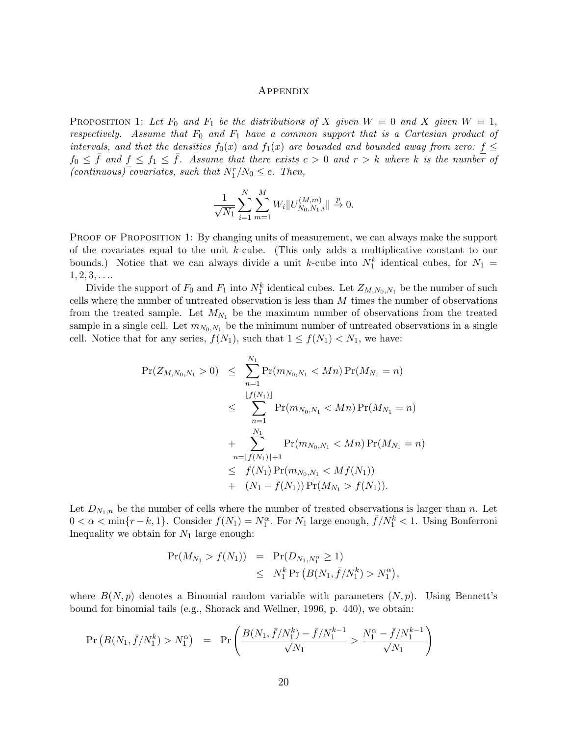#### Appendix

PROPOSITION 1: Let  $F_0$  and  $F_1$  be the distributions of X given  $W = 0$  and X given  $W = 1$ , respectively. Assume that  $F_0$  and  $F_1$  have a common support that is a Cartesian product of intervals, and that the densities  $f_0(x)$  and  $f_1(x)$  are bounded and bounded away from zero:  $f \leq$  $f_0 \leq \bar{f}$  and  $f \leq f_1 \leq \bar{f}$ . Assume that there exists  $c > 0$  and  $r > k$  where k is the number of (continuous) covariates, such that  $N_1^r/N_0 \leq c$ . Then,

$$
\frac{1}{\sqrt{N_1}} \sum_{i=1}^{N} \sum_{m=1}^{M} W_i \| U_{N_0, N_1, i}^{(M, m)} \| \xrightarrow{p} 0.
$$

PROOF OF PROPOSITION 1: By changing units of measurement, we can always make the support of the covariates equal to the unit  $k$ -cube. (This only adds a multiplicative constant to our bounds.) Notice that we can always divide a unit k-cube into  $N_1^k$  identical cubes, for  $N_1 =$  $1, 2, 3, \ldots$ 

Divide the support of  $F_0$  and  $F_1$  into  $N_1^k$  identical cubes. Let  $Z_{M,N_0,N_1}$  be the number of such cells where the number of untreated observation is less than  $M$  times the number of observations from the treated sample. Let  $M_{N_1}$  be the maximum number of observations from the treated sample in a single cell. Let  $m_{N_0,N_1}$  be the minimum number of untreated observations in a single cell. Notice that for any series,  $f(N_1)$ , such that  $1 \le f(N_1) < N_1$ , we have:

$$
\begin{array}{lcl}\n\Pr(Z_{M,N_0,N_1} > 0) & \leq & \sum_{n=1}^{N_1} \Pr(m_{N_0,N_1} < Mn) \Pr(M_{N_1} = n) \\
& \leq & \sum_{n=1}^{\lfloor f(N_1) \rfloor} \Pr(m_{N_0,N_1} < Mn) \Pr(M_{N_1} = n) \\
& \quad + & \sum_{n=\lfloor f(N_1) \rfloor+1} \Pr(m_{N_0,N_1} < Mn) \Pr(M_{N_1} = n) \\
& \leq & f(N_1) \Pr(m_{N_0,N_1} < Mt(N_1)) \\
& \quad + & (N_1 - f(N_1)) \Pr(M_{N_1} > f(N_1)).\n\end{array}
$$

Let  $D_{N_1,n}$  be the number of cells where the number of treated observations is larger than n. Let  $0 < \alpha < \min\{r-k, 1\}$ . Consider  $f(N_1) = N_1^{\alpha}$ . For  $N_1$  large enough,  $\bar{f}/N_1^k < 1$ . Using Bonferroni Inequality we obtain for  $N_1$  large enough:

$$
\begin{array}{rcl}\n\Pr(M_{N_1} > f(N_1)) & = & \Pr(D_{N_1, N_1^{\alpha}} \ge 1) \\
& \le & N_1^k \Pr\left(B(N_1, \bar{f}/N_1^k) > N_1^{\alpha}\right),\n\end{array}
$$

where  $B(N, p)$  denotes a Binomial random variable with parameters  $(N, p)$ . Using Bennett's bound for binomial tails (e.g., Shorack and Wellner, 1996, p. 440), we obtain:

$$
\Pr(B(N_1, \bar{f}/N_1^k) > N_1^{\alpha}) = \Pr\left(\frac{B(N_1, \bar{f}/N_1^k) - \bar{f}/N_1^{k-1}}{\sqrt{N_1}} > \frac{N_1^{\alpha} - \bar{f}/N_1^{k-1}}{\sqrt{N_1}}\right)
$$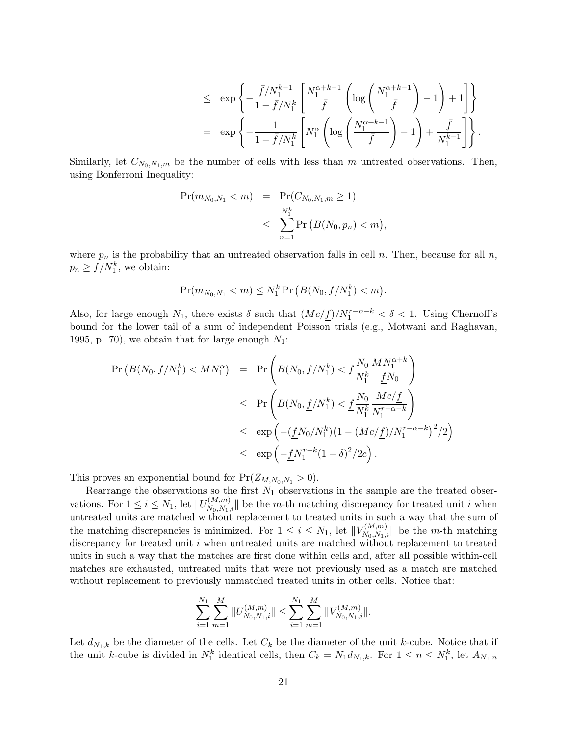$$
\begin{array}{ll} \leq & \displaystyle \exp\left\{-\frac{\bar{f}/N_1^{k-1}}{1-\bar{f}/N_1^k}\left[\frac{N_1^{\alpha+k-1}}{\bar{f}}\left(\log\left(\frac{N_1^{\alpha+k-1}}{\bar{f}}\right)-1\right)+1\right]\right\} \\[0.4cm] = & \displaystyle \exp\left\{-\frac{1}{1-\bar{f}/N_1^k}\left[N_1^\alpha\left(\log\left(\frac{N_1^{\alpha+k-1}}{\bar{f}}\right)-1\right)+\frac{\bar{f}}{N_1^{k-1}}\right]\right\}. \end{array}
$$

Similarly, let  $C_{N_0,N_1,m}$  be the number of cells with less than m untreated observations. Then, using Bonferroni Inequality:

$$
\begin{aligned} \Pr(m_{N_0, N_1} < m) &= \Pr(C_{N_0, N_1, m} \ge 1) \\ &\le \sum_{n=1}^{N_1^k} \Pr\left(B(N_0, p_n) < m\right), \end{aligned}
$$

where  $p_n$  is the probability that an untreated observation falls in cell n. Then, because for all n,  $p_n \geq \underline{f}/N_1^k$ , we obtain:

$$
\Pr(m_{N_0,N_1} < m) \le N_1^k \Pr\left(B(N_0, \underline{f}/N_1^k) < m\right).
$$

Also, for large enough  $N_1$ , there exists  $\delta$  such that  $(Mc/f)/N_1^{r-\alpha-k} < \delta < 1$ . Using Chernoff's bound for the lower tail of a sum of independent Poisson trials (e.g., Motwani and Raghavan, 1995, p. 70), we obtain that for large enough  $N_1$ :

$$
\begin{array}{rcl} \Pr\left(B(N_0,\underline{f}/N_1^k) < MN_1^{\alpha}\right) & = & \Pr\left(B(N_0,\underline{f}/N_1^k) < \underline{f}\frac{N_0}{N_1^k}\frac{MN_1^{\alpha+k}}{\underline{f}N_0}\right) \\ & \leq & \Pr\left(B(N_0,\underline{f}/N_1^k) < \underline{f}\frac{N_0}{N_1^k}\frac{Mc/\underline{f}}{N_1^{r-\alpha-k}}\right) \\ & \leq & \exp\left(-(\underline{f}N_0/N_1^k)\left(1 - (Mc/\underline{f})/N_1^{r-\alpha-k}\right)^2/2\right) \\ & \leq & \exp\left(-\underline{f}N_1^{r-k}(1-\delta)^2/2c\right). \end{array}
$$

This proves an exponential bound for  $Pr(Z_{M,N_0,N_1} > 0)$ .

Rearrange the observations so the first  $N_1$  observations in the sample are the treated observations. For  $1 \leq i \leq N_1$ , let  $||U_{N_0,N_1,i}^{(M,m)}||$  be the *m*-th matching discrepancy for treated unit *i* when untreated units are matched without replacement to treated units in such a way that the sum of the matching discrepancies is minimized. For  $1 \leq i \leq N_1$ , let  $||V_{N_0,N_1,i}^{(M,m)}||$  be the m-th matching discrepancy for treated unit  $i$  when untreated units are matched without replacement to treated units in such a way that the matches are first done within cells and, after all possible within-cell matches are exhausted, untreated units that were not previously used as a match are matched without replacement to previously unmatched treated units in other cells. Notice that:

$$
\sum_{i=1}^{N_1} \sum_{m=1}^{M} ||U_{N_0,N_1,i}^{(M,m)}|| \leq \sum_{i=1}^{N_1} \sum_{m=1}^{M} ||V_{N_0,N_1,i}^{(M,m)}||.
$$

Let  $d_{N_1,k}$  be the diameter of the cells. Let  $C_k$  be the diameter of the unit k-cube. Notice that if the unit k-cube is divided in  $N_1^k$  identical cells, then  $C_k = N_1 d_{N_1,k}$ . For  $1 \leq n \leq N_1^k$ , let  $A_{N_1,n}$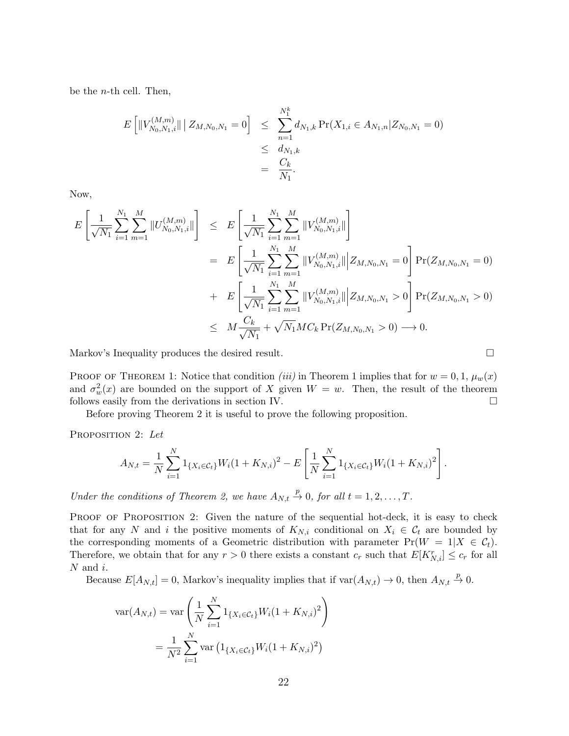be the *n*-th cell. Then,

$$
E\left[\|V_{N_0,N_1,i}^{(M,m)}\| \, \big| \, Z_{M,N_0,N_1} = 0\right] \leq \sum_{n=1}^{N_1^k} d_{N_1,k} \Pr(X_{1,i} \in A_{N_1,n} | Z_{N_0,N_1} = 0) \\
\leq \frac{d_{N_1,k}}{N_1} \\
= \frac{C_k}{N_1}.
$$

Now,

$$
E\left[\frac{1}{\sqrt{N_1}}\sum_{i=1}^{N_1}\sum_{m=1}^{M}||U_{N_0,N_1,i}^{(M,m)}||\right] \leq E\left[\frac{1}{\sqrt{N_1}}\sum_{i=1}^{N_1}\sum_{m=1}^{M}||V_{N_0,N_1,i}^{(M,m)}||\right]
$$
  
\n
$$
= E\left[\frac{1}{\sqrt{N_1}}\sum_{i=1}^{N_1}\sum_{m=1}^{M}||V_{N_0,N_1,i}^{(M,m)}||\mathbf{Z}_{M,N_0,N_1} = 0\right]Pr(Z_{M,N_0,N_1} = 0)
$$
  
\n
$$
+ E\left[\frac{1}{\sqrt{N_1}}\sum_{i=1}^{N_1}\sum_{m=1}^{M}||V_{N_0,N_1,i}^{(M,m)}||\mathbf{Z}_{M,N_0,N_1} > 0\right]Pr(Z_{M,N_0,N_1} > 0)
$$
  
\n
$$
\leq M\frac{C_k}{\sqrt{N_1}} + \sqrt{N_1}MC_k Pr(Z_{M,N_0,N_1} > 0) \longrightarrow 0.
$$

Markov's Inequality produces the desired result.

PROOF OF THEOREM 1: Notice that condition *(iii)* in Theorem 1 implies that for  $w = 0, 1, \mu_w(x)$ and  $\sigma_w^2(x)$  are bounded on the support of X given  $W = w$ . Then, the result of the theorem follows easily from the derivations in section IV.

Before proving Theorem 2 it is useful to prove the following proposition.

PROPOSITION 2: Let

$$
A_{N,t} = \frac{1}{N} \sum_{i=1}^{N} 1_{\{X_i \in \mathcal{C}_t\}} W_i (1 + K_{N,i})^2 - E \left[ \frac{1}{N} \sum_{i=1}^{N} 1_{\{X_i \in \mathcal{C}_t\}} W_i (1 + K_{N,i})^2 \right].
$$

Under the conditions of Theorem 2, we have  $A_{N,t} \stackrel{p}{\rightarrow} 0$ , for all  $t = 1, 2, ..., T$ .

PROOF OF PROPOSITION 2: Given the nature of the sequential hot-deck, it is easy to check that for any N and i the positive moments of  $K_{N,i}$  conditional on  $X_i \in \mathcal{C}_t$  are bounded by the corresponding moments of a Geometric distribution with parameter  $Pr(W = 1 | X \in C_t)$ . Therefore, we obtain that for any  $r > 0$  there exists a constant  $c_r$  such that  $E[K_{N,i}^r] \leq c_r$  for all  $N$  and  $i$ .

Because  $E[A_{N,t}] = 0$ , Markov's inequality implies that if  $var(A_{N,t}) \to 0$ , then  $A_{N,t} \stackrel{p}{\to} 0$ .

$$
\text{var}(A_{N,t}) = \text{var}\left(\frac{1}{N}\sum_{i=1}^{N} 1_{\{X_i \in C_t\}} W_i (1 + K_{N,i})^2\right)
$$

$$
= \frac{1}{N^2} \sum_{i=1}^{N} \text{var}\left(1_{\{X_i \in C_t\}} W_i (1 + K_{N,i})^2\right)
$$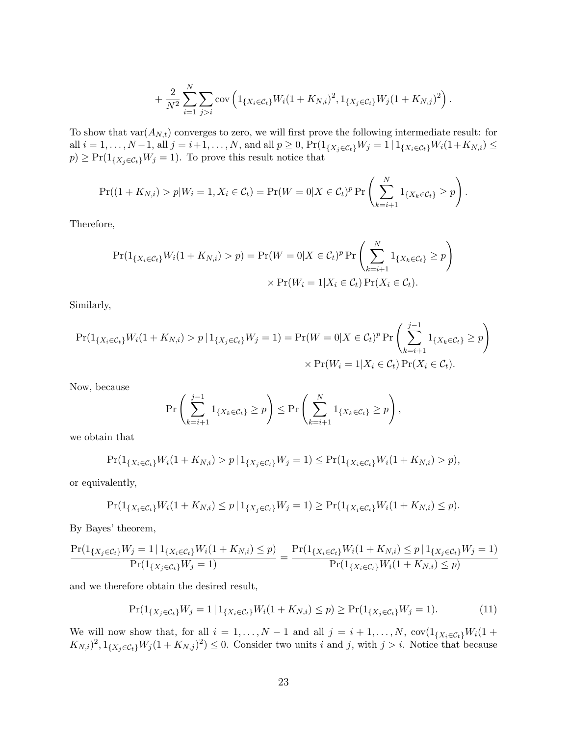$$
+\frac{2}{N^2}\sum_{i=1}^N\sum_{j>i}\text{cov}\left(1_{\{X_i\in\mathcal{C}_t\}}W_i(1+K_{N,i})^2,1_{\{X_j\in\mathcal{C}_t\}}W_j(1+K_{N,j})^2\right).
$$

To show that  $var(A_{N,t})$  converges to zero, we will first prove the following intermediate result: for all  $i = 1, ..., N-1$ , all  $j = i+1, ..., N$ , and all  $p \ge 0$ ,  $Pr(1_{\{X_j \in C_t\}}W_j = 1 | 1_{\{X_i \in C_t\}}W_i(1+K_{N,i}) \le$  $p) \geq \Pr(1_{\{X_j \in C_t\}} W_j = 1)$ . To prove this result notice that

$$
\Pr((1 + K_{N,i}) > p | W_i = 1, X_i \in C_t) = \Pr(W = 0 | X \in C_t)^p \Pr\left(\sum_{k=i+1}^N 1_{\{X_k \in C_t\}} \ge p\right).
$$

Therefore,

$$
\Pr(1_{\{X_i \in \mathcal{C}_t\}} W_i (1 + K_{N,i}) > p) = \Pr(W = 0 | X \in \mathcal{C}_t)^p \Pr\left(\sum_{k=i+1}^N 1_{\{X_k \in \mathcal{C}_t\}} \ge p\right)
$$

$$
\times \Pr(W_i = 1 | X_i \in \mathcal{C}_t) \Pr(X_i \in \mathcal{C}_t).
$$

Similarly,

$$
\Pr(1_{\{X_i \in \mathcal{C}_t\}} W_i (1 + K_{N,i}) > p | 1_{\{X_j \in \mathcal{C}_t\}} W_j = 1) = \Pr(W = 0 | X \in \mathcal{C}_t)^p \Pr\left(\sum_{k=i+1}^{j-1} 1_{\{X_k \in \mathcal{C}_t\}} \ge p\right) \times \Pr(W_i = 1 | X_i \in \mathcal{C}_t) \Pr(X_i \in \mathcal{C}_t).
$$

Now, because

$$
\Pr\left(\sum_{k=i+1}^{j-1} 1_{\{X_k \in \mathcal{C}_t\}} \ge p\right) \le \Pr\left(\sum_{k=i+1}^N 1_{\{X_k \in \mathcal{C}_t\}} \ge p\right),
$$

we obtain that

$$
\Pr(1_{\{X_i \in \mathcal{C}_t\}} W_i(1 + K_{N,i}) > p | 1_{\{X_j \in \mathcal{C}_t\}} W_j = 1) \le \Pr(1_{\{X_i \in \mathcal{C}_t\}} W_i(1 + K_{N,i}) > p),
$$

or equivalently,

$$
\Pr(1_{\{X_i \in \mathcal{C}_t\}} W_i(1 + K_{N,i}) \le p \mid 1_{\{X_j \in \mathcal{C}_t\}} W_j = 1) \ge \Pr(1_{\{X_i \in \mathcal{C}_t\}} W_i(1 + K_{N,i}) \le p).
$$

By Bayes' theorem,

$$
\frac{\Pr(1_{\{X_j \in \mathcal{C}_t\}} W_j = 1 \mid 1_{\{X_i \in \mathcal{C}_t\}} W_i (1 + K_{N,i}) \le p)}{\Pr(1_{\{X_j \in \mathcal{C}_t\}} W_j = 1)} = \frac{\Pr(1_{\{X_i \in \mathcal{C}_t\}} W_i (1 + K_{N,i}) \le p \mid 1_{\{X_j \in \mathcal{C}_t\}} W_j = 1)}{\Pr(1_{\{X_i \in \mathcal{C}_t\}} W_i (1 + K_{N,i}) \le p)}
$$

and we therefore obtain the desired result,

$$
\Pr(1_{\{X_j \in \mathcal{C}_t\}} W_j = 1 | 1_{\{X_i \in \mathcal{C}_t\}} W_i (1 + K_{N,i}) \le p) \ge \Pr(1_{\{X_j \in \mathcal{C}_t\}} W_j = 1).
$$
\n(11)

We will now show that, for all  $i = 1, ..., N - 1$  and all  $j = i + 1, ..., N$ ,  $cov(1_{\{X_i \in C_t\}}W_i(1 +$  $(K_{N,i})^2, 1_{\{X_j \in \mathcal{C}_t\}} W_j (1 + K_{N,j})^2) \leq 0$ . Consider two units i and j, with  $j > i$ . Notice that because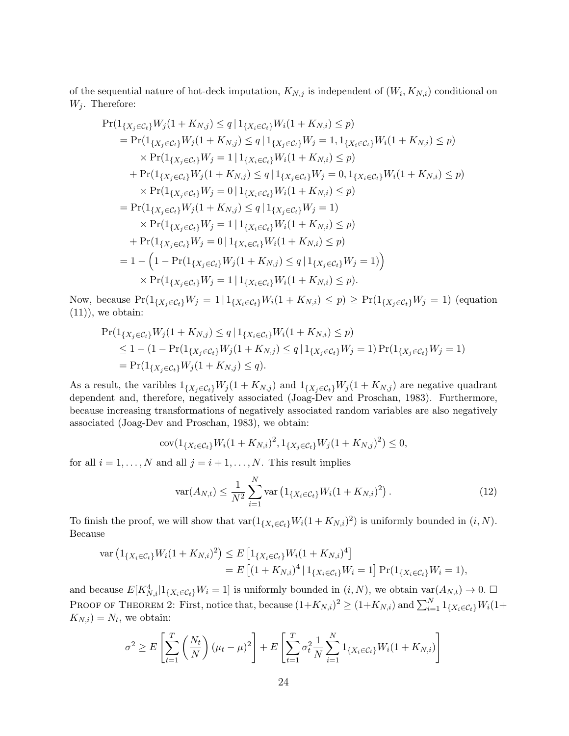of the sequential nature of hot-deck imputation,  $K_{N,j}$  is independent of  $(W_i, K_{N,i})$  conditional on  $W_j$ . Therefore:

$$
\Pr(1_{\{X_j \in \mathcal{C}_t\}} W_j(1 + K_{N,j}) \le q | 1_{\{X_i \in \mathcal{C}_t\}} W_i(1 + K_{N,i}) \le p) \n= \Pr(1_{\{X_j \in \mathcal{C}_t\}} W_j(1 + K_{N,j}) \le q | 1_{\{X_j \in \mathcal{C}_t\}} W_j = 1, 1_{\{X_i \in \mathcal{C}_t\}} W_i(1 + K_{N,i}) \le p) \n\times \Pr(1_{\{X_j \in \mathcal{C}_t\}} W_j = 1 | 1_{\{X_i \in \mathcal{C}_t\}} W_i(1 + K_{N,i}) \le p) \n+ \Pr(1_{\{X_j \in \mathcal{C}_t\}} W_j(1 + K_{N,j}) \le q | 1_{\{X_j \in \mathcal{C}_t\}} W_j = 0, 1_{\{X_i \in \mathcal{C}_t\}} W_i(1 + K_{N,i}) \le p) \n\times \Pr(1_{\{X_j \in \mathcal{C}_t\}} W_j = 0 | 1_{\{X_i \in \mathcal{C}_t\}} W_i(1 + K_{N,i}) \le p) \n= \Pr(1_{\{X_j \in \mathcal{C}_t\}} W_j(1 + K_{N,j}) \le q | 1_{\{X_j \in \mathcal{C}_t\}} W_j = 1) \n\times \Pr(1_{\{X_j \in \mathcal{C}_t\}} W_j = 1 | 1_{\{X_i \in \mathcal{C}_t\}} W_i(1 + K_{N,i}) \le p) \n+ \Pr(1_{\{X_j \in \mathcal{C}_t\}} W_j = 0 | 1_{\{X_i \in \mathcal{C}_t\}} W_i(1 + K_{N,i}) \le p) \n= 1 - \left(1 - \Pr(1_{\{X_j \in \mathcal{C}_t\}} W_j(1 + K_{N,j}) \le q | 1_{\{X_j \in \mathcal{C}_t\}} W_j = 1)\right) \n\times \Pr(1_{\{X_j \in \mathcal{C}_t\}} W_j = 1 | 1_{\{X_i \in \mathcal{C}_t\}} W_i(1 + K_{N,i}) \le p).
$$

Now, because  $Pr(1_{\{X_j \in C_t\}}W_j = 1 | 1_{\{X_i \in C_t\}}W_i(1 + K_{N,i}) \le p) \ge Pr(1_{\{X_j \in C_t\}}W_j = 1)$  (equation  $(11)$ , we obtain:

$$
\Pr(1_{\{X_j \in \mathcal{C}_t\}} W_j(1 + K_{N,j}) \le q | 1_{\{X_i \in \mathcal{C}_t\}} W_i(1 + K_{N,i}) \le p) \le 1 - (1 - \Pr(1_{\{X_j \in \mathcal{C}_t\}} W_j(1 + K_{N,j}) \le q | 1_{\{X_j \in \mathcal{C}_t\}} W_j = 1) \Pr(1_{\{X_j \in \mathcal{C}_t\}} W_j = 1) = \Pr(1_{\{X_j \in \mathcal{C}_t\}} W_j(1 + K_{N,j}) \le q).
$$

As a result, the varibles  $1_{\{X_i \in \mathcal{C}_t\}} W_j (1 + K_{N,j})$  and  $1_{\{X_i \in \mathcal{C}_t\}} W_j (1 + K_{N,j})$  are negative quadrant dependent and, therefore, negatively associated (Joag-Dev and Proschan, 1983). Furthermore, because increasing transformations of negatively associated random variables are also negatively associated (Joag-Dev and Proschan, 1983), we obtain:

$$
cov(1_{\{X_i \in \mathcal{C}_t\}} W_i (1 + K_{N,i})^2, 1_{\{X_j \in \mathcal{C}_t\}} W_j (1 + K_{N,j})^2) \le 0,
$$

for all  $i = 1, ..., N$  and all  $j = i + 1, ..., N$ . This result implies

$$
\text{var}(A_{N,t}) \le \frac{1}{N^2} \sum_{i=1}^N \text{var}\left(1_{\{X_i \in \mathcal{C}_t\}} W_i (1 + K_{N,i})^2\right). \tag{12}
$$

To finish the proof, we will show that  $\text{var}(\mathbb{1}_{\{X_i \in \mathcal{C}_t\}} W_i(1 + K_{N,i})^2)$  is uniformly bounded in  $(i, N)$ . Because

$$
\operatorname{var}\left(\mathbb{1}_{\{X_i \in \mathcal{C}_t\}} W_i (1 + K_{N,i})^2\right) \le E\left[\mathbb{1}_{\{X_i \in \mathcal{C}_t\}} W_i (1 + K_{N,i})^4\right]
$$
  
=  $E\left[(1 + K_{N,i})^4 | \mathbb{1}_{\{X_i \in \mathcal{C}_t\}} W_i = 1\right] \Pr(\mathbb{1}_{\{X_i \in \mathcal{C}_t\}} W_i = 1),$ 

and because  $E[K_{N,i}^4|1_{\{X_i \in \mathcal{C}_t\}}W_i = 1]$  is uniformly bounded in  $(i, N)$ , we obtain  $\text{var}(A_{N,t}) \to 0$ . PROOF OF THEOREM 2: First, notice that, because  $(1+K_{N,i})^2 \ge (1+K_{N,i})$  and  $\sum_{i=1}^N 1_{\{X_i \in \mathcal{C}_t\}} W_i(1+K_{N,i})$  $K_{N,i}$ ) =  $N_t$ , we obtain:

$$
\sigma^2 \ge E\left[\sum_{t=1}^T \left(\frac{N_t}{N}\right)(\mu_t - \mu)^2\right] + E\left[\sum_{t=1}^T \sigma_t^2 \frac{1}{N} \sum_{i=1}^N 1_{\{X_i \in \mathcal{C}_t\}} W_i (1 + K_{N,i})\right]
$$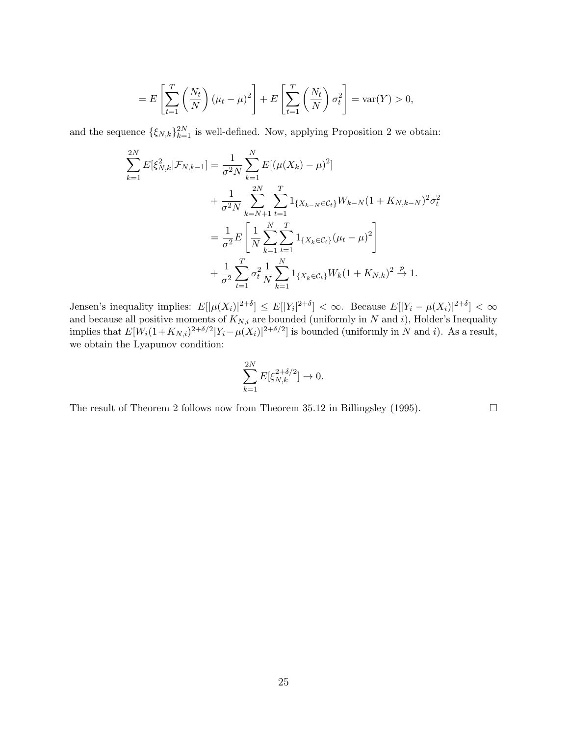$$
= E\left[\sum_{t=1}^{T} \left(\frac{N_t}{N}\right)(\mu_t - \mu)^2\right] + E\left[\sum_{t=1}^{T} \left(\frac{N_t}{N}\right)\sigma_t^2\right] = \text{var}(Y) > 0,
$$

and the sequence  $\{\xi_{N,k}\}_{k=1}^{2N}$  is well-defined. Now, applying Proposition 2 we obtain:

$$
\sum_{k=1}^{2N} E[\xi_{N,k}^2 | \mathcal{F}_{N,k-1}] = \frac{1}{\sigma^2 N} \sum_{k=1}^N E[(\mu(X_k) - \mu)^2]
$$
  
+ 
$$
\frac{1}{\sigma^2 N} \sum_{k=N+1}^{2N} \sum_{t=1}^T 1_{\{X_{k-N} \in \mathcal{C}_t\}} W_{k-N} (1 + K_{N,k-N})^2 \sigma_t^2
$$
  
= 
$$
\frac{1}{\sigma^2} E\left[\frac{1}{N} \sum_{k=1}^N \sum_{t=1}^T 1_{\{X_k \in \mathcal{C}_t\}} (\mu_t - \mu)^2\right]
$$
  
+ 
$$
\frac{1}{\sigma^2} \sum_{t=1}^T \sigma_t^2 \frac{1}{N} \sum_{k=1}^N 1_{\{X_k \in \mathcal{C}_t\}} W_k (1 + K_{N,k})^2 \xrightarrow{p} 1.
$$

Jensen's inequality implies:  $E[|\mu(X_i)|^{2+\delta}] \le E[|Y_i|^{2+\delta}] < \infty$ . Because  $E[|Y_i - \mu(X_i)|^{2+\delta}] < \infty$ and because all positive moments of  $K_{N,i}$  are bounded (uniformly in N and i), Holder's Inequality implies that  $E[W_i(1+K_{N,i})^{2+\delta/2}]Y_i-\mu(X_i)|^{2+\delta/2}]$  is bounded (uniformly in N and i). As a result, we obtain the Lyapunov condition:

$$
\sum_{k=1}^{2N} E[\xi_{N,k}^{2+\delta/2}] \to 0.
$$

The result of Theorem 2 follows now from Theorem 35.12 in Billingsley (1995).  $\Box$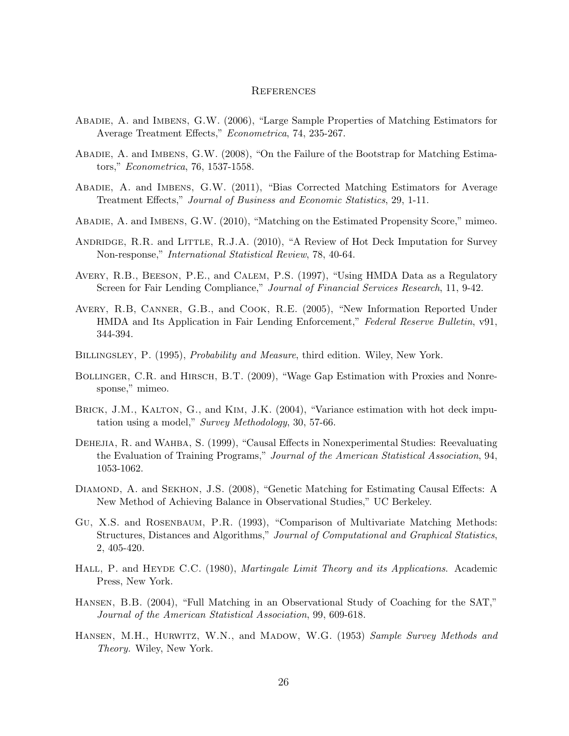## **REFERENCES**

- Abadie, A. and Imbens, G.W. (2006), "Large Sample Properties of Matching Estimators for Average Treatment Effects," Econometrica, 74, 235-267.
- Abadie, A. and Imbens, G.W. (2008), "On the Failure of the Bootstrap for Matching Estimators," Econometrica, 76, 1537-1558.
- Abadie, A. and Imbens, G.W. (2011), "Bias Corrected Matching Estimators for Average Treatment Effects," Journal of Business and Economic Statistics, 29, 1-11.
- Abadie, A. and Imbens, G.W. (2010), "Matching on the Estimated Propensity Score," mimeo.
- ANDRIDGE, R.R. and LITTLE, R.J.A. (2010), "A Review of Hot Deck Imputation for Survey Non-response," International Statistical Review, 78, 40-64.
- Avery, R.B., Beeson, P.E., and Calem, P.S. (1997), "Using HMDA Data as a Regulatory Screen for Fair Lending Compliance," Journal of Financial Services Research, 11, 9-42.
- Avery, R.B, Canner, G.B., and Cook, R.E. (2005), "New Information Reported Under HMDA and Its Application in Fair Lending Enforcement," Federal Reserve Bulletin, v91, 344-394.
- BILLINGSLEY, P. (1995), *Probability and Measure*, third edition. Wiley, New York.
- BOLLINGER, C.R. and HIRSCH, B.T. (2009), "Wage Gap Estimation with Proxies and Nonresponse," mimeo.
- BRICK, J.M., KALTON, G., and KIM, J.K. (2004), "Variance estimation with hot deck imputation using a model," Survey Methodology, 30, 57-66.
- DEHEJIA, R. and WAHBA, S. (1999), "Causal Effects in Nonexperimental Studies: Reevaluating the Evaluation of Training Programs," Journal of the American Statistical Association, 94, 1053-1062.
- DIAMOND, A. and SEKHON, J.S. (2008), "Genetic Matching for Estimating Causal Effects: A New Method of Achieving Balance in Observational Studies," UC Berkeley.
- Gu, X.S. and Rosenbaum, P.R. (1993), "Comparison of Multivariate Matching Methods: Structures, Distances and Algorithms," Journal of Computational and Graphical Statistics, 2, 405-420.
- HALL, P. and HEYDE C.C. (1980), *Martingale Limit Theory and its Applications*. Academic Press, New York.
- Hansen, B.B. (2004), "Full Matching in an Observational Study of Coaching for the SAT," Journal of the American Statistical Association, 99, 609-618.
- HANSEN, M.H., HURWITZ, W.N., and MADOW, W.G. (1953) Sample Survey Methods and Theory. Wiley, New York.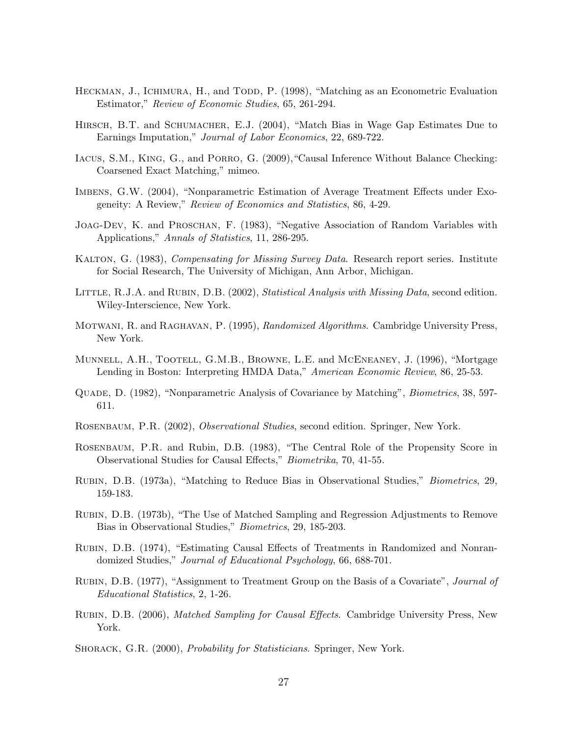- HECKMAN, J., ICHIMURA, H., and TODD, P. (1998), "Matching as an Econometric Evaluation Estimator," Review of Economic Studies, 65, 261-294.
- Hirsch, B.T. and Schumacher, E.J. (2004), "Match Bias in Wage Gap Estimates Due to Earnings Imputation," Journal of Labor Economics, 22, 689-722.
- Iacus, S.M., King, G., and Porro, G. (2009),"Causal Inference Without Balance Checking: Coarsened Exact Matching," mimeo.
- Imbens, G.W. (2004), "Nonparametric Estimation of Average Treatment Effects under Exogeneity: A Review," Review of Economics and Statistics, 86, 4-29.
- Joag-Dev, K. and Proschan, F. (1983), "Negative Association of Random Variables with Applications," Annals of Statistics, 11, 286-295.
- KALTON, G. (1983), *Compensating for Missing Survey Data*. Research report series. Institute for Social Research, The University of Michigan, Ann Arbor, Michigan.
- LITTLE, R.J.A. and RUBIN, D.B. (2002), Statistical Analysis with Missing Data, second edition. Wiley-Interscience, New York.
- MOTWANI, R. and RAGHAVAN, P. (1995), Randomized Algorithms. Cambridge University Press, New York.
- Munnell, A.H., Tootell, G.M.B., Browne, L.E. and McEneaney, J. (1996), "Mortgage Lending in Boston: Interpreting HMDA Data," American Economic Review, 86, 25-53.
- Quade, D. (1982), "Nonparametric Analysis of Covariance by Matching", Biometrics, 38, 597- 611.
- Rosenbaum, P.R. (2002), Observational Studies, second edition. Springer, New York.
- Rosenbaum, P.R. and Rubin, D.B. (1983), "The Central Role of the Propensity Score in Observational Studies for Causal Effects," Biometrika, 70, 41-55.
- Rubin, D.B. (1973a), "Matching to Reduce Bias in Observational Studies," Biometrics, 29, 159-183.
- Rubin, D.B. (1973b), "The Use of Matched Sampling and Regression Adjustments to Remove Bias in Observational Studies," Biometrics, 29, 185-203.
- Rubin, D.B. (1974), "Estimating Causal Effects of Treatments in Randomized and Nonrandomized Studies," *Journal of Educational Psychology*, 66, 688-701.
- Rubin, D.B. (1977), "Assignment to Treatment Group on the Basis of a Covariate", Journal of Educational Statistics, 2, 1-26.
- RUBIN, D.B. (2006), *Matched Sampling for Causal Effects*. Cambridge University Press, New York.
- SHORACK, G.R. (2000), *Probability for Statisticians*. Springer, New York.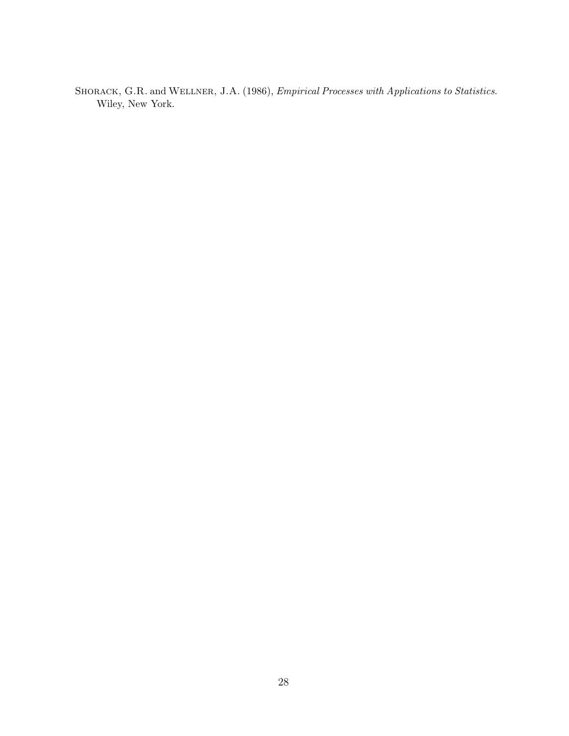Shorack, G.R. and Wellner, J.A. (1986), Empirical Processes with Applications to Statistics. Wiley, New York.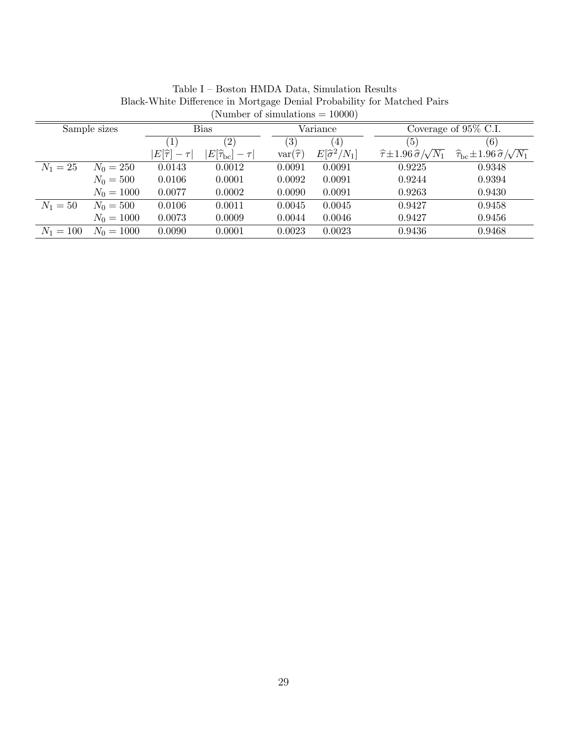| (Number of simulations $= 10000$ ) |              |                                |                                     |                   |                         |                                                      |                                                                  |  |  |  |  |  |
|------------------------------------|--------------|--------------------------------|-------------------------------------|-------------------|-------------------------|------------------------------------------------------|------------------------------------------------------------------|--|--|--|--|--|
| Sample sizes                       |              | <b>Bias</b>                    |                                     |                   | Variance                | Coverage of 95% C.I.                                 |                                                                  |  |  |  |  |  |
|                                    |              | (1)                            | $\left( 2\right)$                   | $\left( 3\right)$ | (4)                     | (5)                                                  | (6)                                                              |  |  |  |  |  |
|                                    |              | $E[\widehat{\tau}]$<br>$-\tau$ | $ E[\widehat{\tau}_{\rm bc}]-\tau $ | $var(\hat{\tau})$ | $E[\hat{\sigma}^2/N_1]$ | $\widehat{\tau}$ ±1.96 $\widehat{\sigma}/\sqrt{N_1}$ | $\widehat{\tau}_{\rm bc} \pm 1.96 \,\widehat{\sigma}/\sqrt{N_1}$ |  |  |  |  |  |
| $N_1 = 25$                         | $N_0 = 250$  | 0.0143                         | 0.0012                              | 0.0091            | 0.0091                  | 0.9225                                               | 0.9348                                                           |  |  |  |  |  |
|                                    | $N_0 = 500$  | 0.0106                         | 0.0001                              | 0.0092            | 0.0091                  | 0.9244                                               | 0.9394                                                           |  |  |  |  |  |
|                                    | $N_0 = 1000$ | 0.0077                         | 0.0002                              | 0.0090            | 0.0091                  | 0.9263                                               | 0.9430                                                           |  |  |  |  |  |
| $N_1 = 50$                         | $N_0 = 500$  | 0.0106                         | 0.0011                              | 0.0045            | 0.0045                  | 0.9427                                               | 0.9458                                                           |  |  |  |  |  |
|                                    | $N_0 = 1000$ | 0.0073                         | 0.0009                              | 0.0044            | 0.0046                  | 0.9427                                               | 0.9456                                                           |  |  |  |  |  |
| $N_1 = 100$                        | $N_0 = 1000$ | 0.0090                         | 0.0001                              | 0.0023            | 0.0023                  | 0.9436                                               | 0.9468                                                           |  |  |  |  |  |

Table I – Boston HMDA Data, Simulation Results Black-White Difference in Mortgage Denial Probability for Matched Pairs